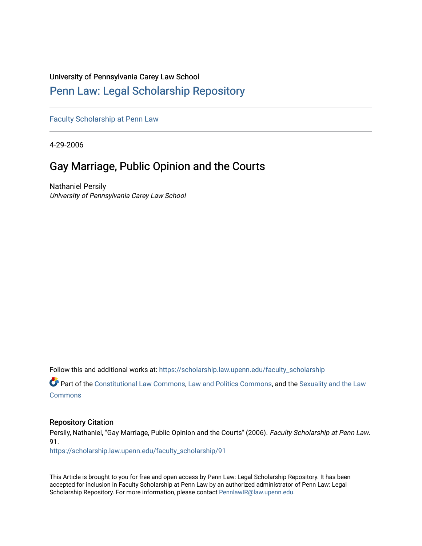# University of Pennsylvania Carey Law School

# [Penn Law: Legal Scholarship Repository](https://scholarship.law.upenn.edu/)

[Faculty Scholarship at Penn Law](https://scholarship.law.upenn.edu/faculty_scholarship)

4-29-2006

# Gay Marriage, Public Opinion and the Courts

Nathaniel Persily University of Pennsylvania Carey Law School

Follow this and additional works at: [https://scholarship.law.upenn.edu/faculty\\_scholarship](https://scholarship.law.upenn.edu/faculty_scholarship?utm_source=scholarship.law.upenn.edu%2Ffaculty_scholarship%2F91&utm_medium=PDF&utm_campaign=PDFCoverPages) 

**P** Part of the [Constitutional Law Commons,](http://network.bepress.com/hgg/discipline/589?utm_source=scholarship.law.upenn.edu%2Ffaculty_scholarship%2F91&utm_medium=PDF&utm_campaign=PDFCoverPages) [Law and Politics Commons,](http://network.bepress.com/hgg/discipline/867?utm_source=scholarship.law.upenn.edu%2Ffaculty_scholarship%2F91&utm_medium=PDF&utm_campaign=PDFCoverPages) and the [Sexuality and the Law](http://network.bepress.com/hgg/discipline/877?utm_source=scholarship.law.upenn.edu%2Ffaculty_scholarship%2F91&utm_medium=PDF&utm_campaign=PDFCoverPages) **[Commons](http://network.bepress.com/hgg/discipline/877?utm_source=scholarship.law.upenn.edu%2Ffaculty_scholarship%2F91&utm_medium=PDF&utm_campaign=PDFCoverPages)** 

### Repository Citation

Persily, Nathaniel, "Gay Marriage, Public Opinion and the Courts" (2006). Faculty Scholarship at Penn Law. 91.

[https://scholarship.law.upenn.edu/faculty\\_scholarship/91](https://scholarship.law.upenn.edu/faculty_scholarship/91?utm_source=scholarship.law.upenn.edu%2Ffaculty_scholarship%2F91&utm_medium=PDF&utm_campaign=PDFCoverPages) 

This Article is brought to you for free and open access by Penn Law: Legal Scholarship Repository. It has been accepted for inclusion in Faculty Scholarship at Penn Law by an authorized administrator of Penn Law: Legal Scholarship Repository. For more information, please contact [PennlawIR@law.upenn.edu.](mailto:PennlawIR@law.upenn.edu)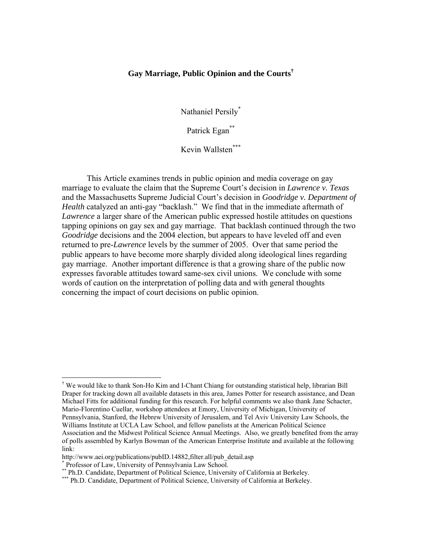# **Gay Marriage, Public Opinion and the Courts[†](#page-1-0)**

Nathaniel Persil[y\\*](#page-1-1)

Patrick Egan<sup>[\\*\\*](#page-1-2)</sup>

Kevin Wallsten[\\*\\*](#page-1-2)\*

This Article examines trends in public opinion and media coverage on gay marriage to evaluate the claim that the Supreme Court's decision in *Lawrence v. Texas* and the Massachusetts Supreme Judicial Court's decision in *Goodridge v. Department of Health* catalyzed an anti-gay "backlash." We find that in the immediate aftermath of *Lawrence* a larger share of the American public expressed hostile attitudes on questions tapping opinions on gay sex and gay marriage. That backlash continued through the two *Goodridge* decisions and the 2004 election, but appears to have leveled off and even returned to pre-*Lawrence* levels by the summer of 2005. Over that same period the public appears to have become more sharply divided along ideological lines regarding gay marriage. Another important difference is that a growing share of the public now expresses favorable attitudes toward same-sex civil unions. We conclude with some words of caution on the interpretation of polling data and with general thoughts concerning the impact of court decisions on public opinion.

<span id="page-1-0"></span><sup>†</sup> We would like to thank Son-Ho Kim and I-Chant Chiang for outstanding statistical help, librarian Bill Draper for tracking down all available datasets in this area, James Potter for research assistance, and Dean Michael Fitts for additional funding for this research. For helpful comments we also thank Jane Schacter, Mario-Florentino Cuellar, workshop attendees at Emory, University of Michigan, University of Pennsylvania, Stanford, the Hebrew University of Jerusalem, and Tel Aviv University Law Schools, the Williams Institute at UCLA Law School, and fellow panelists at the American Political Science Association and the Midwest Political Science Annual Meetings. Also, we greatly benefited from the array of polls assembled by Karlyn Bowman of the American Enterprise Institute and available at the following link:

http://www.aei.org/publications/pubID.14882,filter.all/pub\_detail.asp

<span id="page-1-1"></span><sup>\*</sup> Professor of Law, University of Pennsylvania Law School.

<span id="page-1-2"></span>

<sup>\*\*</sup> Ph.D. Candidate, Department of Political Science, University of California at Berkeley.<br>\*\*\* Ph.D. Candidate, Department of Political Science, University of California at Berkeley.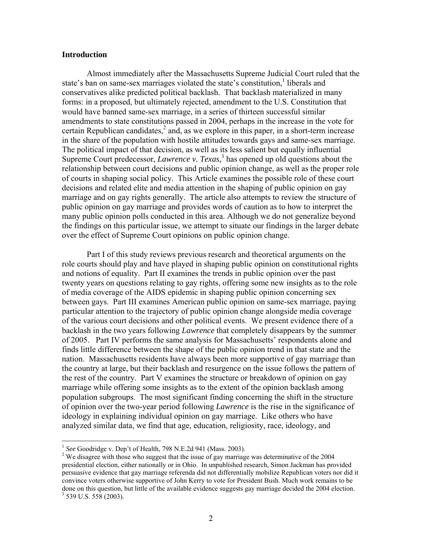### **Introduction**

Almost immediately after the Massachusetts Supreme Judicial Court ruled that the state's ban on same-sex marriages violated the state's constitution,<sup>1</sup> liberals and conservatives alike predicted political backlash. That backlash materialized in many forms: in a proposed, but ultimately rejected, amendment to the U.S. Constitution that would have banned same-sex marriage, in a series of thirteen successful similar amendments to state constitutions passed in 2004, perhaps in the increase in the vote for certain Republican candidates, $<sup>2</sup>$  $<sup>2</sup>$  $<sup>2</sup>$  and, as we explore in this paper, in a short-term increase</sup> in the share of the population with hostile attitudes towards gays and same-sex marriage. The political impact of that decision, as well as its less salient but equally influential Supreme Court predecessor, *Lawrence v. Texas*,<sup>[3](#page-2-2)</sup> has opened up old questions about the relationship between court decisions and public opinion change, as well as the proper role of courts in shaping social policy. This Article examines the possible role of these court decisions and related elite and media attention in the shaping of public opinion on gay marriage and on gay rights generally. The article also attempts to review the structure of public opinion on gay marriage and provides words of caution as to how to interpret the many public opinion polls conducted in this area. Although we do not generalize beyond the findings on this particular issue, we attempt to situate our findings in the larger debate over the effect of Supreme Court opinions on public opinion change.

Part I of this study reviews previous research and theoretical arguments on the role courts should play and have played in shaping public opinion on constitutional rights and notions of equality. Part II examines the trends in public opinion over the past twenty years on questions relating to gay rights, offering some new insights as to the role of media coverage of the AIDS epidemic in shaping public opinion concerning sex between gays. Part III examines American public opinion on same-sex marriage, paying particular attention to the trajectory of public opinion change alongside media coverage of the various court decisions and other political events. We present evidence there of a backlash in the two years following *Lawrence* that completely disappears by the summer of 2005. Part IV performs the same analysis for Massachusetts' respondents alone and finds little difference between the shape of the public opinion trend in that state and the nation. Massachusetts residents have always been more supportive of gay marriage than the country at large, but their backlash and resurgence on the issue follows the pattern of the rest of the country. Part V examines the structure or breakdown of opinion on gay marriage while offering some insights as to the extent of the opinion backlash among population subgroups. The most significant finding concerning the shift in the structure of opinion over the two-year period following *Lawrence* is the rise in the significance of ideology in explaining individual opinion on gay marriage. Like others who have analyzed similar data, we find that age, education, religiosity, race, ideology, and

1

<span id="page-2-0"></span><sup>&</sup>lt;sup>1</sup> *See* Goodridge v. Dep't of Health, 798 N.E.2d 941 (Mass. 2003).

<span id="page-2-2"></span><span id="page-2-1"></span><sup>&</sup>lt;sup>2</sup> We disagree with those who suggest that the issue of gay marriage was determinative of the 2004 presidential election, either nationally or in Ohio. In unpublished research, Simon Jackman has provided persuasive evidence that gay marriage referenda did not differentially mobilize Republican voters nor did it convince voters otherwise supportive of John Kerry to vote for President Bush. Much work remains to be done on this question, but little of the available evidence suggests gay marriage decided the 2004 election.  $3$  539 U.S. 558 (2003).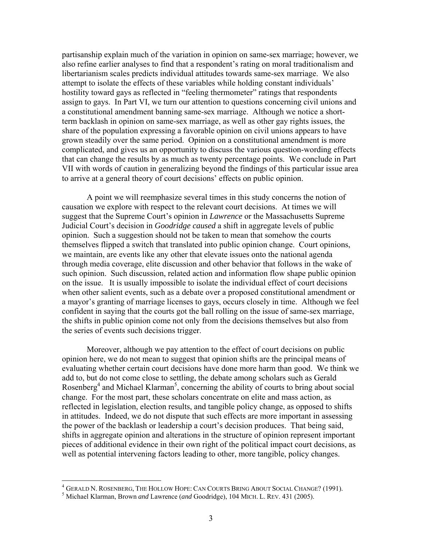partisanship explain much of the variation in opinion on same-sex marriage; however, we also refine earlier analyses to find that a respondent's rating on moral traditionalism and libertarianism scales predicts individual attitudes towards same-sex marriage. We also attempt to isolate the effects of these variables while holding constant individuals' hostility toward gays as reflected in "feeling thermometer" ratings that respondents assign to gays. In Part VI, we turn our attention to questions concerning civil unions and a constitutional amendment banning same-sex marriage. Although we notice a shortterm backlash in opinion on same-sex marriage, as well as other gay rights issues, the share of the population expressing a favorable opinion on civil unions appears to have grown steadily over the same period. Opinion on a constitutional amendment is more complicated, and gives us an opportunity to discuss the various question-wording effects that can change the results by as much as twenty percentage points. We conclude in Part VII with words of caution in generalizing beyond the findings of this particular issue area to arrive at a general theory of court decisions' effects on public opinion.

A point we will reemphasize several times in this study concerns the notion of causation we explore with respect to the relevant court decisions. At times we will suggest that the Supreme Court's opinion in *Lawrence* or the Massachusetts Supreme Judicial Court's decision in *Goodridge caused* a shift in aggregate levels of public opinion. Such a suggestion should not be taken to mean that somehow the courts themselves flipped a switch that translated into public opinion change. Court opinions, we maintain, are events like any other that elevate issues onto the national agenda through media coverage, elite discussion and other behavior that follows in the wake of such opinion. Such discussion, related action and information flow shape public opinion on the issue. It is usually impossible to isolate the individual effect of court decisions when other salient events, such as a debate over a proposed constitutional amendment or a mayor's granting of marriage licenses to gays, occurs closely in time. Although we feel confident in saying that the courts got the ball rolling on the issue of same-sex marriage, the shifts in public opinion come not only from the decisions themselves but also from the series of events such decisions trigger.

Moreover, although we pay attention to the effect of court decisions on public opinion here, we do not mean to suggest that opinion shifts are the principal means of evaluating whether certain court decisions have done more harm than good. We think we add to, but do not come close to settling, the debate among scholars such as Gerald Rosenberg<sup>[4](#page-3-0)</sup> and Michael Klarman<sup>[5](#page-3-1)</sup>, concerning the ability of courts to bring about social change. For the most part, these scholars concentrate on elite and mass action, as reflected in legislation, election results, and tangible policy change, as opposed to shifts in attitudes. Indeed, we do not dispute that such effects are more important in assessing the power of the backlash or leadership a court's decision produces. That being said, shifts in aggregate opinion and alterations in the structure of opinion represent important pieces of additional evidence in their own right of the political impact court decisions, as well as potential intervening factors leading to other, more tangible, policy changes.

<span id="page-3-0"></span><sup>&</sup>lt;sup>4</sup> GERALD N. ROSENBERG, THE HOLLOW HOPE: CAN COURTS BRING ABOUT SOCIAL CHANGE? (1991).<br><sup>5</sup> Michael Klarman, Brown and Lawrange (and Goodridge), 104 Micu, L. Bry, 431 (2005).

<span id="page-3-1"></span><sup>&</sup>lt;sup>5</sup> Michael Klarman, Brown *and* Lawrence (*and* Goodridge), 104 MICH. L. REV. 431 (2005).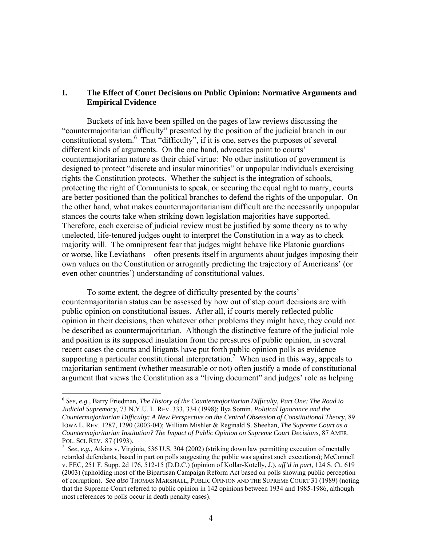# **I. The Effect of Court Decisions on Public Opinion: Normative Arguments and Empirical Evidence**

Buckets of ink have been spilled on the pages of law reviews discussing the "countermajoritarian difficulty" presented by the position of the judicial branch in our constitutional system. [6](#page-4-0) That "difficulty", if it is one, serves the purposes of several different kinds of arguments. On the one hand, advocates point to courts' countermajoritarian nature as their chief virtue: No other institution of government is designed to protect "discrete and insular minorities" or unpopular individuals exercising rights the Constitution protects. Whether the subject is the integration of schools, protecting the right of Communists to speak, or securing the equal right to marry, courts are better positioned than the political branches to defend the rights of the unpopular. On the other hand, what makes countermajoritarianism difficult are the necessarily unpopular stances the courts take when striking down legislation majorities have supported. Therefore, each exercise of judicial review must be justified by some theory as to why unelected, life-tenured judges ought to interpret the Constitution in a way as to check majority will. The omnipresent fear that judges might behave like Platonic guardians or worse, like Leviathans—often presents itself in arguments about judges imposing their own values on the Constitution or arrogantly predicting the trajectory of Americans' (or even other countries') understanding of constitutional values.

To some extent, the degree of difficulty presented by the courts' countermajoritarian status can be assessed by how out of step court decisions are with public opinion on constitutional issues. After all, if courts merely reflected public opinion in their decisions, then whatever other problems they might have, they could not be described as countermajoritarian. Although the distinctive feature of the judicial role and position is its supposed insulation from the pressures of public opinion, in several recent cases the courts and litigants have put forth public opinion polls as evidence supporting a particular constitutional interpretation.<sup>[7](#page-4-1)</sup> When used in this way, appeals to majoritarian sentiment (whether measurable or not) often justify a mode of constitutional argument that views the Constitution as a "living document" and judges' role as helping

<span id="page-4-0"></span><sup>6</sup> *See, e.g.*, Barry Friedman, *The History of the Countermajoritarian Difficulty, Part One: The Road to Judicial Supremacy*, 73 N.Y.U. L. REV. 333, 334 (1998); Ilya Somin, *Political Ignorance and the Countermajoritarian Difficulty: A New Perspective on the Central Obsession of Constitutional Theory*, 89 IOWA L. REV. 1287, 1290 (2003-04); [William Mishler & Reginald S. Sheehan](http://www.jstor.org/search/BasicResults?Search=Search&Query=aa:%22William%20Mishler;%20Reginald%20S.%20Sheehan%22&hp=25&si=1), *[The Supreme Court as](http://www.jstor.org/view/00030554/di971011/97p0008b/0?currentResult=00030554%2bdi971011%2b97p0008b%2b0%2cFFFF&searchUrl=http%3A%2F%2Fwww.jstor.org%2Fsearch%2FBasicResults%3Fhp%3D25%26si%3D1%26Query%3DPublic%2BOpinion%2Band%2Bthe%2BUnited%2BStates%2BSupreme%2BCourt) a [Countermajoritarian Institution?](http://www.jstor.org/view/00030554/di971011/97p0008b/0?currentResult=00030554%2bdi971011%2b97p0008b%2b0%2cFFFF&searchUrl=http%3A%2F%2Fwww.jstor.org%2Fsearch%2FBasicResults%3Fhp%3D25%26si%3D1%26Query%3DPublic%2BOpinion%2Band%2Bthe%2BUnited%2BStates%2BSupreme%2BCourt) The Impact of Public Opinion on Supreme Court Decisions*, 87 [AMER.](http://www.jstor.org/browse/00030554) POL. SCI. REV. 8[7](http://www.jstor.org/browse/00030554) (1993).

<span id="page-4-1"></span><sup>&</sup>lt;sup>7</sup> See, e.g., Atkins v. Virginia, 536 U.S. 304 (2002) (striking down law permitting execution of mentally retarded defendants, based in part on polls suggesting the public was against such executions); McConnell v. FEC, 251 F. Supp. 2d 176, 512-15 (D.D.C.) (opinion of Kollar-Kotelly, J.), *aff'd in part*, 124 S. Ct. 619 (2003) (upholding most of the Bipartisan Campaign Reform Act based on polls showing public perception of corruption). *See also* THOMAS MARSHALL, PUBLIC OPINION AND THE SUPREME COURT 31 (1989) (noting that the Supreme Court referred to public opinion in 142 opinions between 1934 and 1985-1986, although most references to polls occur in death penalty cases).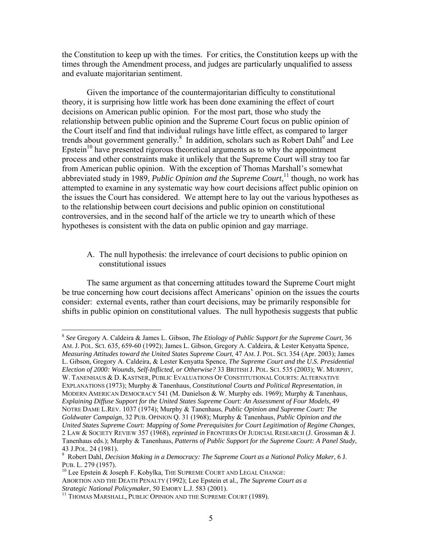the Constitution to keep up with the times. For critics, the Constitution keeps up with the times through the Amendment process, and judges are particularly unqualified to assess and evaluate majoritarian sentiment.

Given the importance of the countermajoritarian difficulty to constitutional theory, it is surprising how little work has been done examining the effect of court decisions on American public opinion. For the most part, those who study the relationship between public opinion and the Supreme Court focus on public opinion of the Court itself and find that individual rulings have little effect, as compared to larger trends about government generally.<sup>[8](#page-5-0)</sup> In addition, scholars such as Robert Dahl<sup>9</sup> and Lee Epstein<sup>10</sup> have presented rigorous theoretical arguments as to why the appointment process and other constraints make it unlikely that the Supreme Court will stray too far from American public opinion. With the exception of Thomas Marshall's somewhat abbreviated study in 1989, *Public Opinion and the Supreme Court*, [11](#page-5-3) though, no work has attempted to examine in any systematic way how court decisions affect public opinion on the issues the Court has considered. We attempt here to lay out the various hypotheses as to the relationship between court decisions and public opinion on constitutional controversies, and in the second half of the article we try to unearth which of these hypotheses is consistent with the data on public opinion and gay marriage.

# A. The null hypothesis: the irrelevance of court decisions to public opinion on constitutional issues

The same argument as that concerning attitudes toward the Supreme Court might be true concerning how court decisions affect Americans' opinion on the issues the courts consider: external events, rather than court decisions, may be primarily responsible for shifts in public opinion on constitutional values. The null hypothesis suggests that public

<span id="page-5-0"></span><sup>8</sup> *See* Gregory A. Caldeira & James L. Gibson, *The Etiology of Public Support for the Supreme Court*, 36 AM. J. POL. SCI. 635, 659-60 (1992); James L. Gibson, Gregory A. Caldeira, & Lester Kenyatta Spence, *Measuring Attitudes toward the United States Supreme Court*, 47 AM. J. POL. SCI. 354 (Apr. 2003); James L. Gibson, Gregory A. Caldeira, & Lester Kenyatta Spence, *The Supreme Court and the U.S. Presidential Election of 2000: Wounds, Self-Inflicted, or Otherwise?* 33 BRITISH J. POL. SCI. 535 (2003); W. MURPHY, W. TANENHAUS & D. KASTNER, PUBLIC EVALUATIONS OF CONSTITUTIONAL COURTS: ALTERNATIVE EXPLANATIONS (1973); Murphy & Tanenhaus, *Constitutional Courts and Political Representation*, *in* MODERN AMERICAN DEMOCRACY 541 (M. Danielson & W. Murphy eds. 1969); Murphy & Tanenhaus, *Explaining Diffuse Support for the United States Supreme Court: An Assessment of Four Models*, 49 NOTRE DAME L.REV. 1037 (1974); Murphy & Tanenhaus, *Public Opinion and Supreme Court: The Goldwater Campaign*, 32 PUB. OPINION Q. 31 (1968); Murphy & Tanenhaus, *Public Opinion and the United States Supreme Court: Mapping of Some Prerequisites for Court Legitimation of Regime Changes*, 2 LAW & SOCIETY REVIEW 357 (1968), *reprinted in* FRONTIERS OF JUDICIAL RESEARCH (J. Grossman & J. Tanenhaus eds.); Murphy & Tanenhaus, *Patterns of Public Support for the Supreme Court: A Panel Study*, 43 J.POL. 24 (1981). 9

<span id="page-5-1"></span>Robert Dahl, *Decision Making in a Democracy: The Supreme Court as a National Policy Maker*, 6 J.

<span id="page-5-3"></span><span id="page-5-2"></span> $^{10}$  Lee Epstein & Joseph F. Kobylka, THE SUPREME COURT AND LEGAL CHANGE: ABORTION AND THE DEATH PENALTY (1992); Lee Epstein et al., *The Supreme Court as a Strategic National Policymaker*, 50 EMORY L.J. 583 (2001). 11 THOMAS MARSHALL, PUBLIC OPINION AND THE SUPREME COURT (1989).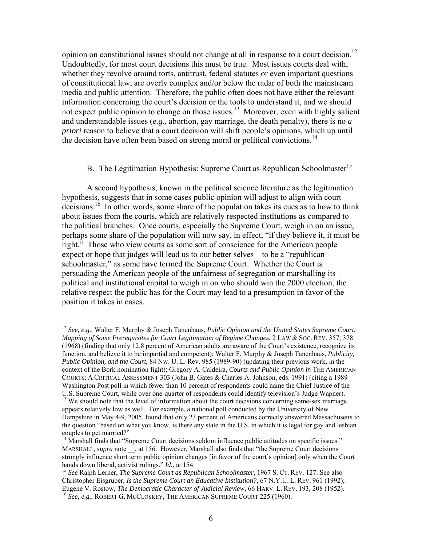opinion on constitutional issues should not change at all in response to a court decision.<sup>12</sup> Undoubtedly, for most court decisions this must be true. Most issues courts deal with, whether they revolve around torts, antitrust, federal statutes or even important questions of constitutional law, are overly complex and/or below the radar of both the mainstream media and public attention. Therefore, the public often does not have either the relevant information concerning the court's decision or the tools to understand it, and we should not expect public opinion to change on those issues.<sup>13</sup> Moreover, even with highly salient and understandable issues (*e.g.*, abortion, gay marriage, the death penalty), there is no *a priori* reason to believe that a court decision will shift people's opinions, which up until the decision have often been based on strong moral or political convictions.<sup>14</sup>

# B. The Legitimation Hypothesis: Supreme Court as Republican Schoolmaster<sup>[15](#page-6-3)</sup>

A second hypothesis, known in the political science literature as the legitimation hypothesis, suggests that in some cases public opinion will adjust to align with court decisions.<sup>16</sup> In other words, some share of the population takes its cues as to how to think about issues from the courts, which are relatively respected institutions as compared to the political branches. Once courts, especially the Supreme Court, weigh in on an issue, perhaps some share of the population will now say, in effect, "if they believe it, it must be right." Those who view courts as some sort of conscience for the American people expect or hope that judges will lead us to our better selves – to be a "republican schoolmaster," as some have termed the Supreme Court. Whether the Court is persuading the American people of the unfairness of segregation or marshalling its political and institutional capital to weigh in on who should win the 2000 election, the relative respect the public has for the Court may lead to a presumption in favor of the position it takes in cases.

<span id="page-6-0"></span><sup>12</sup> *See, e.g.*, Walter F. Murphy & Joseph Tanenhaus, *Public Opinion and the United States Supreme Court: Mapping of Some Prerequisites for Court Legitimation of Regime Changes*, 2 LAW & SOC. REV. 357, 378 (1968) (finding that only 12.8 percent of American adults are aware of the Court's existence, recognize its function, and believe it to be impartial and competent); Walter F. Murphy & Joseph Tanenhaus, *Publicity, Public Opinion, and the Court*, 84 Nw. U. L. Rev. 985 (1989-90) (updating their previous work, in the context of the Bork nomination fight); Gregory A. Caldeira, *Courts and Public Opinion in* THE AMERICAN COURTS: A CRITICAL ASSESSMENT 303 (John B. Gates & Charles A. Johnson, eds. 1991) (citing a 1989 Washington Post poll in which fewer than 10 percent of respondents could name the Chief Justice of the U.S. Supreme Court, while over one-quarter of respondents could identify television's Judge Wapner).

<span id="page-6-1"></span> $13$  We should note that the level of information about the court decisions concerning same-sex marriage appears relatively low as well. For example, a national poll conducted by the University of New Hampshire in May 4-9, 2005, found that only 23 percent of Americans correctly answered Massachusetts to the question "based on what you know, is there any state in the U.S. in which it is legal for gay and lesbian couples to get married?"

<span id="page-6-2"></span><sup>&</sup>lt;sup>14</sup> Marshall finds that "Supreme Court decisions seldom influence public attitudes on specific issues." MARSHALL, *supra* note \_\_, at 156. However, Marshall also finds that "the Supreme Court decisions strongly influence short term public opinion changes [in favor of the court's opinion] only when the Court hands down liberal, activist rulings." *Id.*, at 154.<br><sup>15</sup> *See* Ralph Lerner, *The Supreme Court as Republican Schoolmaster*, 1967 S. CT. REV. 127. See also

<span id="page-6-4"></span><span id="page-6-3"></span>Christopher Eisgruber, *Is the Supreme Court an Educative Institution?*, 67 N.Y.U. L. REV. 961 (1992); Eugene V. Rostow, *The Democratic Character of Judicial Review*, 66 HARV. L. REV. 193, 208 (1952). <sup>16</sup> *See, e.g.*, ROBERT G. MCCLOSKEY, THE AMERICAN SUPREME COURT 225 (1960).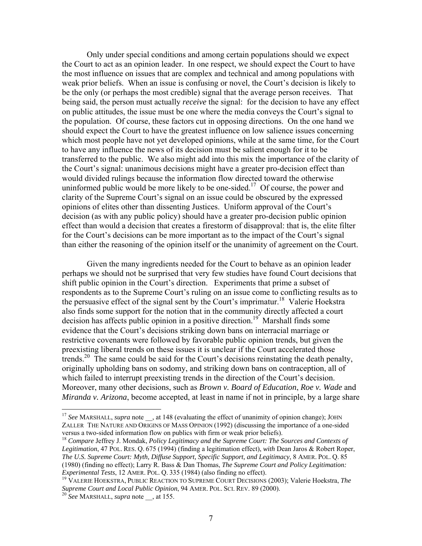Only under special conditions and among certain populations should we expect the Court to act as an opinion leader. In one respect, we should expect the Court to have the most influence on issues that are complex and technical and among populations with weak prior beliefs. When an issue is confusing or novel, the Court's decision is likely to be the only (or perhaps the most credible) signal that the average person receives. That being said, the person must actually *receive* the signal: for the decision to have any effect on public attitudes, the issue must be one where the media conveys the Court's signal to the population. Of course, these factors cut in opposing directions. On the one hand we should expect the Court to have the greatest influence on low salience issues concerning which most people have not yet developed opinions, while at the same time, for the Court to have any influence the news of its decision must be salient enough for it to be transferred to the public. We also might add into this mix the importance of the clarity of the Court's signal: unanimous decisions might have a greater pro-decision effect than would divided rulings because the information flow directed toward the otherwise uninformed public would be more likely to be one-sided.<sup>17</sup> Of course, the power and clarity of the Supreme Court's signal on an issue could be obscured by the expressed opinions of elites other than dissenting Justices. Uniform approval of the Court's decision (as with any public policy) should have a greater pro-decision public opinion effect than would a decision that creates a firestorm of disapproval: that is, the elite filter for the Court's decisions can be more important as to the impact of the Court's signal than either the reasoning of the opinion itself or the unanimity of agreement on the Court.

Given the many ingredients needed for the Court to behave as an opinion leader perhaps we should not be surprised that very few studies have found Court decisions that shift public opinion in the Court's direction. Experiments that prime a subset of respondents as to the Supreme Court's ruling on an issue come to conflicting results as to the persuasive effect of the signal sent by the Court's imprimatur.<sup>18</sup> Valerie Hoekstra also finds some support for the notion that in the community directly affected a court decision has affects public opinion in a positive direction.<sup>19</sup> Marshall finds some evidence that the Court's decisions striking down bans on interracial marriage or restrictive covenants were followed by favorable public opinion trends, but given the preexisting liberal trends on these issues it is unclear if the Court accelerated those trends.<sup>20</sup> The same could be said for the Court's decisions reinstating the death penalty, originally upholding bans on sodomy, and striking down bans on contraception, all of which failed to interrupt preexisting trends in the direction of the Court's decision. Moreover, many other decisions, such as *Brown v. Board of Education*, *Roe v. Wade* and *Miranda v. Arizona*, become accepted, at least in name if not in principle, by a large share

1

<span id="page-7-0"></span><sup>&</sup>lt;sup>17</sup> See MARSHALL, *supra* note , at 148 (evaluating the effect of unanimity of opinion change); JOHN ZALLER THE NATURE AND ORIGINS OF MASS OPINION (1992) (discussing the importance of a one-sided

<span id="page-7-1"></span>versus a two-sided information flow on publics with firm or weak prior beliefs). 18 *Compare* Jeffrey J. Mondak, *Policy Legitimacy and the Supreme Court: The Sources and Contexts of Legitimation*, 47 POL. RES. Q. 675 (1994) (finding a legitimation effect), *with* Dean Jaros & Robert Roper, *The U.S. Supreme Court: Myth, Diffuse Support, Specific Support, and Legitimacy*, 8 AMER. POL. Q. 85 (1980) (finding no effect); Larry R. Bass & Dan Thomas, *The Supreme Court and Policy Legitimation: Experimental Tests*, 12 AMER. POL. Q. 335 (1984) (also finding no effect).<br><sup>19</sup> VALERIE HOEKSTRA, PUBLIC REACTION TO SUPREME COURT DECISIONS (2003); Valerie Hoekstra, *The* 

<span id="page-7-2"></span>*Supreme Court and Local Public Opinion*, 94 AMER. POL. SCI. REV. 89 (2000). 20 *See* MARSHALL, *supra* note \_\_, at 155.

<span id="page-7-3"></span>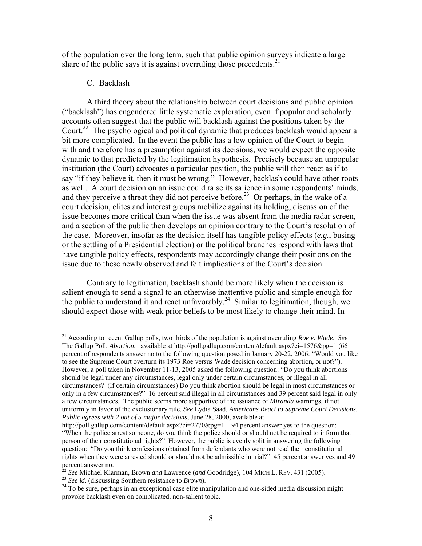of the population over the long term, such that public opinion surveys indicate a large share of the public says it is against overruling those precedents.<sup>21</sup>

### C. Backlash

<u>.</u>

A third theory about the relationship between court decisions and public opinion ("backlash") has engendered little systematic exploration, even if popular and scholarly accounts often suggest that the public will backlash against the positions taken by the Court.<sup>22</sup> The psychological and political dynamic that produces backlash would appear a bit more complicated. In the event the public has a low opinion of the Court to begin with and therefore has a presumption against its decisions, we would expect the opposite dynamic to that predicted by the legitimation hypothesis. Precisely because an unpopular institution (the Court) advocates a particular position, the public will then react as if to say "if they believe it, then it must be wrong." However, backlash could have other roots as well. A court decision on an issue could raise its salience in some respondents' minds, and they perceive a threat they did not perceive before.<sup>23</sup> Or perhaps, in the wake of a court decision, elites and interest groups mobilize against its holding, discussion of the issue becomes more critical than when the issue was absent from the media radar screen, and a section of the public then develops an opinion contrary to the Court's resolution of the case. Moreover, insofar as the decision itself has tangible policy effects (*e.g.*, busing or the settling of a Presidential election) or the political branches respond with laws that have tangible policy effects, respondents may accordingly change their positions on the issue due to these newly observed and felt implications of the Court's decision.

Contrary to legitimation, backlash should be more likely when the decision is salient enough to send a signal to an otherwise inattentive public and simple enough for the public to understand it and react unfavorably.<sup>24</sup> Similar to legitimation, though, we should expect those with weak prior beliefs to be most likely to change their mind. In

<span id="page-8-0"></span><sup>21</sup> According to recent Gallup polls, two thirds of the population is against overruling *Roe v. Wade*. *See* The Gallup Poll, *Abortion*, available at http://poll.gallup.com/content/default.aspx?ci=1576&pg=1 (66 percent of respondents answer no to the following question posed in January 20-22, 2006: "Would you like to see the Supreme Court overturn its 1973 Roe versus Wade decision concerning abortion, or not?"). However, a poll taken in November 11-13, 2005 asked the following question: "Do you think abortions should be legal under any circumstances, legal only under certain circumstances, or illegal in all circumstances? (If certain circumstances) Do you think abortion should be legal in most circumstances or only in a few circumstances?" 16 percent said illegal in all circumstances and 39 percent said legal in only a few circumstances. The public seems more supportive of the issuance of *Miranda* warnings, if not uniformly in favor of the exclusionary rule. *See* Lydia Saad, *Americans React to Supreme Court Decisions, Public agrees with 2 out of 5 major decisions*, June 28, 2000, available at

http://poll.gallup.com/content/default.aspx?ci=2770&pg=1 . 94 percent answer yes to the question: "When the police arrest someone, do you think the police should or should not be required to inform that person of their constitutional rights?" However, the public is evenly split in answering the following question: "Do you think confessions obtained from defendants who were not read their constitutional rights when they were arrested should or should not be admissible in trial?" 45 percent answer yes and 49

<span id="page-8-1"></span>

<span id="page-8-3"></span><span id="page-8-2"></span>

<sup>&</sup>lt;sup>22</sup> See Michael Klarman, Brown *and* Lawrence (*and* Goodridge), 104 MICH L. REV. 431 (2005).<br><sup>23</sup> See id. (discussing Southern resistance to *Brown*).<br><sup>24</sup> To be sure, perhaps in an exceptional case elite manipulation a provoke backlash even on complicated, non-salient topic.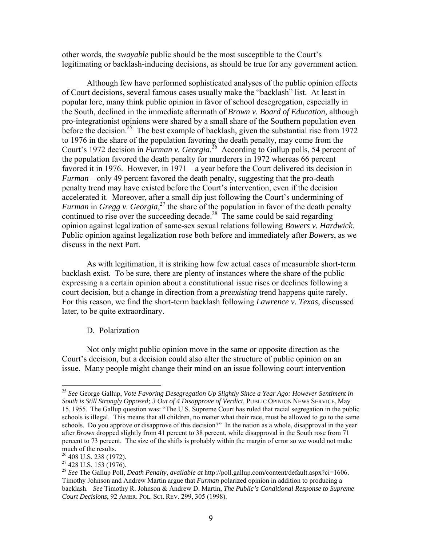other words, the *swayable* public should be the most susceptible to the Court's legitimating or backlash-inducing decisions, as should be true for any government action.

Although few have performed sophisticated analyses of the public opinion effects of Court decisions, several famous cases usually make the "backlash" list. At least in popular lore, many think public opinion in favor of school desegregation, especially in the South, declined in the immediate aftermath of *Brown v. Board of Education,* although pro-integrationist opinions were shared by a small share of the Southern population even before the decision.<sup>25</sup> The best example of backlash, given the substantial rise from 1972 to 1976 in the share of the population favoring the death penalty, may come from the Court's 1972 decision in *Furman v. Georgia*.<sup>26</sup> According to Gallup polls, 54 percent of the population favored the death penalty for murderers in 1972 whereas 66 percent favored it in 1976. However, in 1971 – a year before the Court delivered its decision in *Furman* – only 49 percent favored the death penalty, suggesting that the pro-death penalty trend may have existed before the Court's intervention, even if the decision accelerated it. Moreover, after a small dip just following the Court's undermining of *Furman* in *Gregg v. Georgia*, [27](#page-9-2) the share of the population in favor of the death penalty continued to rise over the succeeding decade.<sup>28</sup> The same could be said regarding opinion against legalization of same-sex sexual relations following *Bowers v. Hardwick*. Public opinion against legalization rose both before and immediately after *Bowers*, as we discuss in the next Part.

As with legitimation, it is striking how few actual cases of measurable short-term backlash exist. To be sure, there are plenty of instances where the share of the public expressing a a certain opinion about a constitutional issue rises or declines following a court decision, but a change in direction from a *preexisting* trend happens quite rarely. For this reason, we find the short-term backlash following *Lawrence v. Texas*, discussed later, to be quite extraordinary.

# D. Polarization

Not only might public opinion move in the same or opposite direction as the Court's decision, but a decision could also alter the structure of public opinion on an issue. Many people might change their mind on an issue following court intervention

1

<span id="page-9-0"></span><sup>25</sup> *See* George Gallup, *Vote Favoring Desegregation Up Slightly Since a Year Ago: However Sentiment in South is Still Strongly Opposed; 3 Out of 4 Disapprove of Verdict,* PUBLIC OPINION NEWS SERVICE, May 15, 1955. The Gallup question was: "The U.S. Supreme Court has ruled that racial segregation in the public schools is illegal. This means that all children, no matter what their race, must be allowed to go to the same schools. Do you approve or disapprove of this decision?" In the nation as a whole, disapproval in the year after *Brown* dropped slightly from 41 percent to 38 percent, while disapproval in the South rose from 71 percent to 73 percent. The size of the shifts is probably within the margin of error so we would not make much of the results.<br><sup>26</sup> 408 U.S. 238 (1972).<br><sup>27</sup> 428 U.S. 153 (1976).<br><sup>28</sup> *See* The Gallup Poll, *Death Penalty*, *available at* http://poll.gallup.com/content/default.aspx?ci=1606.

<span id="page-9-1"></span>

<span id="page-9-2"></span>

<span id="page-9-3"></span>Timothy Johnson and Andrew Martin argue that *Furman* polarized opinion in addition to producing a backlash. *See* Timothy R. Johnson & Andrew D. Martin, *The Public's Conditional Response to Supreme Court Decisions*, 92 AMER. POL. SCI. REV. 299, 305 (1998).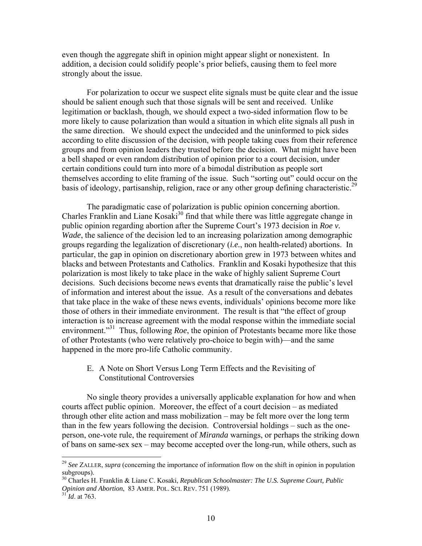even though the aggregate shift in opinion might appear slight or nonexistent. In addition, a decision could solidify people's prior beliefs, causing them to feel more strongly about the issue.

For polarization to occur we suspect elite signals must be quite clear and the issue should be salient enough such that those signals will be sent and received. Unlike legitimation or backlash, though, we should expect a two-sided information flow to be more likely to cause polarization than would a situation in which elite signals all push in the same direction. We should expect the undecided and the uninformed to pick sides according to elite discussion of the decision, with people taking cues from their reference groups and from opinion leaders they trusted before the decision. What might have been a bell shaped or even random distribution of opinion prior to a court decision, under certain conditions could turn into more of a bimodal distribution as people sort themselves according to elite framing of the issue. Such "sorting out" could occur on the basis of ideology, partisanship, religion, race or any other group defining characteristic.<sup>29</sup>

The paradigmatic case of polarization is public opinion concerning abortion. Charles Franklin and Liane Kosaki<sup>30</sup> find that while there was little aggregate change in public opinion regarding abortion after the Supreme Court's 1973 decision in *Roe v. Wade*, the salience of the decision led to an increasing polarization among demographic groups regarding the legalization of discretionary (*i.e.*, non health-related) abortions. In particular, the gap in opinion on discretionary abortion grew in 1973 between whites and blacks and between Protestants and Catholics. Franklin and Kosaki hypothesize that this polarization is most likely to take place in the wake of highly salient Supreme Court decisions. Such decisions become news events that dramatically raise the public's level of information and interest about the issue. As a result of the conversations and debates that take place in the wake of these news events, individuals' opinions become more like those of others in their immediate environment. The result is that "the effect of group interaction is to increase agreement with the modal response within the immediate social environment.<sup>331</sup> Thus, following *Roe*, the opinion of Protestants became more like those of other Protestants (who were relatively pro-choice to begin with)—and the same happened in the more pro-life Catholic community.

E. A Note on Short Versus Long Term Effects and the Revisiting of Constitutional Controversies

No single theory provides a universally applicable explanation for how and when courts affect public opinion. Moreover, the effect of a court decision – as mediated through other elite action and mass mobilization – may be felt more over the long term than in the few years following the decision. Controversial holdings – such as the oneperson, one-vote rule, the requirement of *Miranda* warnings, or perhaps the striking down of bans on same-sex sex – may become accepted over the long-run, while others, such as

1

<span id="page-10-0"></span><sup>&</sup>lt;sup>29</sup> See ZALLER, *supra* (concerning the importance of information flow on the shift in opinion in population subgroups). 30 Charles H. Franklin & Liane C. Kosaki, *Republican Schoolmaster: The U.S. Supreme Court, Public*

<span id="page-10-1"></span>*Opinion and Abortion*, 83 AMER. POL. SCI. REV. 751 (1989). <sup>31</sup> *Id*. at 763.

<span id="page-10-2"></span>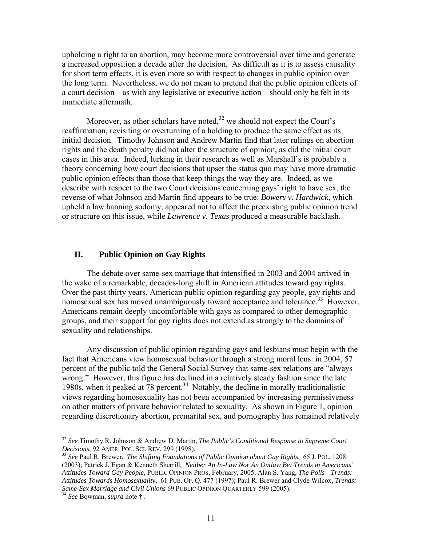upholding a right to an abortion, may become more controversial over time and generate a increased opposition a decade after the decision. As difficult as it is to assess causality for short term effects, it is even more so with respect to changes in public opinion over the long term. Nevertheless, we do not mean to pretend that the public opinion effects of a court decision – as with any legislative or executive action – should only be felt in its immediate aftermath.

Moreover, as other scholars have noted, $32$  we should not expect the Court's reaffirmation, revisiting or overturning of a holding to produce the same effect as its initial decision. Timothy Johnson and Andrew Martin find that later rulings on abortion rights and the death penalty did not alter the structure of opinion, as did the initial court cases in this area. Indeed, lurking in their research as well as Marshall's is probably a theory concerning how court decisions that upset the status quo may have more dramatic public opinion effects than those that keep things the way they are. Indeed, as we describe with respect to the two Court decisions concerning gays' right to have sex, the reverse of what Johnson and Martin find appears to be true: *Bowers v. Hardwick*, which upheld a law banning sodomy, appeared not to affect the preexisting public opinion trend or structure on this issue, while *Lawrence v. Texas* produced a measurable backlash.

# **II. Public Opinion on Gay Rights**

The debate over same-sex marriage that intensified in 2003 and 2004 arrived in the wake of a remarkable, decades-long shift in American attitudes toward gay rights. Over the past thirty years, American public opinion regarding gay people, gay rights and homosexual sex has moved unambiguously toward acceptance and tolerance.<sup>33</sup> However, Americans remain deeply uncomfortable with gays as compared to other demographic groups, and their support for gay rights does not extend as strongly to the domains of sexuality and relationships.

Any discussion of public opinion regarding gays and lesbians must begin with the fact that Americans view homosexual behavior through a strong moral lens: in 2004, 57 percent of the public told the General Social Survey that same-sex relations are "always wrong." However, this figure has declined in a relatively steady fashion since the late 1980s, when it peaked at  $\frac{78}{9}$  percent.<sup>34</sup> Notably, the decline in morally traditionalistic views regarding homosexuality has not been accompanied by increasing permissiveness on other matters of private behavior related to sexuality. As shown in Figure 1, opinion regarding discretionary abortion, premarital sex, and pornography has remained relatively

<span id="page-11-0"></span><sup>32</sup> *See* Timothy R. Johnson & Andrew D. Martin, *The Public's Conditional Response to Supreme Court* 

<span id="page-11-1"></span><sup>&</sup>lt;sup>33</sup> See Paul R. Brewer, *The Shifting Foundations of Public Opinion about Gay Rights*, 65 J. POL. 1208 (2003); Patrick J. Egan & Kenneth Sherrill, *Neither An In-Law Nor An Outlaw Be: Trends in Americans' Attitudes Toward Gay People*, PUBLIC OPINION PROS, February, 2005; Alan S. Yang, *The Polls—Trends: Attitudes Towards Homosexuality*, 61 PUB. OP. Q. 477 (1997); Paul R. Brewer and Clyde Wilcox, *Trends: Same-Sex Marriage and Civil Unions* <sup>69</sup> PUBLIC OPINION QUARTERLY 599 (2005). 34 *See* Bowman, *supra* note † .

<span id="page-11-2"></span>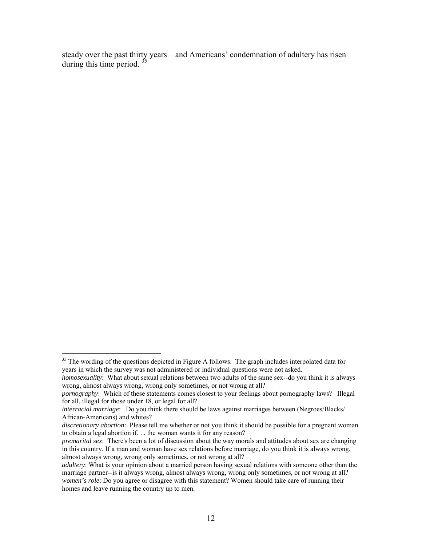steady over the past thirty years—and Americans' condemnation of adultery has risen during this time period. [35](#page-12-0)

<span id="page-12-0"></span><sup>&</sup>lt;sup>35</sup> The wording of the questions depicted in Figure A follows. The graph includes interpolated data for years in which the survey was not administered or individual questions were not asked.

*homosexuality*: What about sexual relations between two adults of the same sex--do you think it is always wrong, almost always wrong, wrong only sometimes, or not wrong at all?

*pornography*: Which of these statements comes closest to your feelings about pornography laws? Illegal for all, illegal for those under 18, or legal for all?

*interracial marriage*: Do you think there should be laws against marriages between (Negroes/Blacks/ African-Americans) and whites?

*discretionary abortion*: Please tell me whether or not you think it should be possible for a pregnant woman to obtain a legal abortion if. . . the woman wants it for any reason?

*premarital sex*: There's been a lot of discussion about the way morals and attitudes about sex are changing in this country. If a man and woman have sex relations before marriage, do you think it is always wrong, almost always wrong, wrong only sometimes, or not wrong at all?

*adultery*: What is your opinion about a married person having sexual relations with someone other than the marriage partner--is it always wrong, almost always wrong, wrong only sometimes, or not wrong at all? *women's role*: Do you agree or disagree with this statement? Women should take care of running their homes and leave running the country up to men.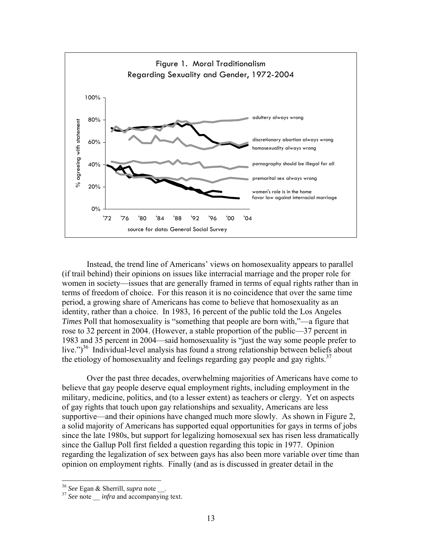

Instead, the trend line of Americans' views on homosexuality appears to parallel (if trail behind) their opinions on issues like interracial marriage and the proper role for women in society—issues that are generally framed in terms of equal rights rather than in terms of freedom of choice. For this reason it is no coincidence that over the same time period, a growing share of Americans has come to believe that homosexuality as an identity, rather than a choice. In 1983, 16 percent of the public told the Los Angeles *Times* Poll that homosexuality is "something that people are born with,"—a figure that rose to 32 percent in 2004. (However, a stable proportion of the public—37 percent in 1983 and 35 percent in 2004—said homosexuality is "just the way some people prefer to live.")<sup>36</sup> Individual-level analysis has found a strong relationship between beliefs about the etiology of homosexuality and feelings regarding gay people and gay rights.<sup>[37](#page-13-1)</sup>

Over the past three decades, overwhelming majorities of Americans have come to believe that gay people deserve equal employment rights, including employment in the military, medicine, politics, and (to a lesser extent) as teachers or clergy. Yet on aspects of gay rights that touch upon gay relationships and sexuality, Americans are less supportive—and their opinions have changed much more slowly. As shown in Figure 2, a solid majority of Americans has supported equal opportunities for gays in terms of jobs since the late 1980s, but support for legalizing homosexual sex has risen less dramatically since the Gallup Poll first fielded a question regarding this topic in 1977. Opinion regarding the legalization of sex between gays has also been more variable over time than opinion on employment rights. Finally (and as is discussed in greater detail in the

<span id="page-13-1"></span><span id="page-13-0"></span>

<sup>&</sup>lt;sup>36</sup> *See* Egan & Sherrill, *supra* note \_\_\_.<br><sup>37</sup> *See* note *infra* and accompanying text.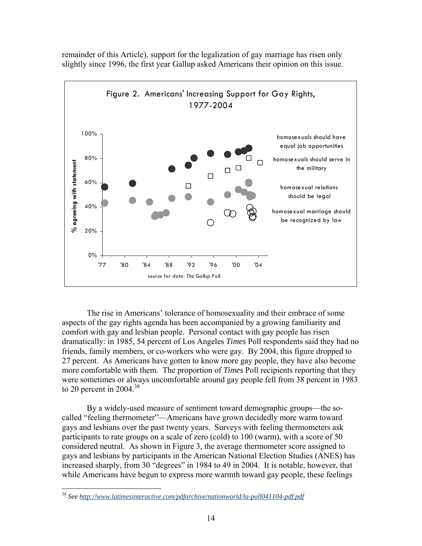

remainder of this Article), support for the legalization of gay marriage has risen only slightly since 1996, the first year Gallup asked Americans their opinion on this issue.

The rise in Americans' tolerance of homosexuality and their embrace of some aspects of the gay rights agenda has been accompanied by a growing familiarity and comfort with gay and lesbian people. Personal contact with gay people has risen dramatically: in 1985, 54 percent of Los Angeles *Times* Poll respondents said they had no friends, family members, or co-workers who were gay. By 2004, this figure dropped to 27 percent. As Americans have gotten to know more gay people, they have also become more comfortable with them. The proportion of *Times* Poll recipients reporting that they were sometimes or always uncomfortable around gay people fell from 38 percent in 1983 to 20 percent in 2004.<sup>38</sup>

By a widely-used measure of sentiment toward demographic groups—the socalled "feeling thermometer"—Americans have grown decidedly more warm toward gays and lesbians over the past twenty years. Surveys with feeling thermometers ask participants to rate groups on a scale of zero (cold) to 100 (warm), with a score of 50 considered neutral. As shown in Figure 3, the average thermometer score assigned to gays and lesbians by participants in the American National Election Studies (ANES) has increased sharply, from 30 "degrees" in 1984 to 49 in 2004. It is notable, however, that while Americans have begun to express more warmth toward gay people, these feelings

<span id="page-14-0"></span><sup>38</sup> *See<http://www.latimesinteractive.com/pdfarchive/nationworld/la-poll041104-pdf.pdf>*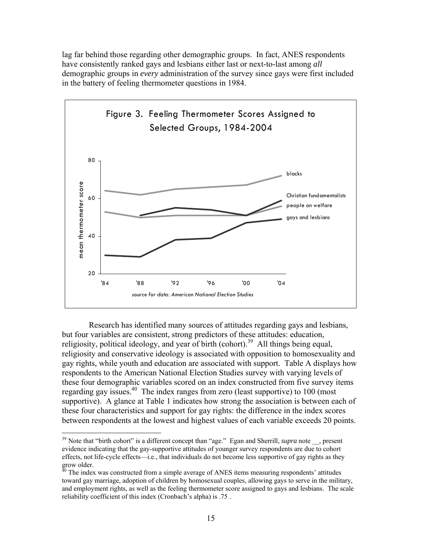lag far behind those regarding other demographic groups. In fact, ANES respondents have consistently ranked gays and lesbians either last or next-to-last among *all* demographic groups in *every* administration of the survey since gays were first included in the battery of feeling thermometer questions in 1984.



Research has identified many sources of attitudes regarding gays and lesbians, but four variables are consistent, strong predictors of these attitudes: education, religiosity, political ideology, and year of birth (cohort).<sup>39</sup> All things being equal, religiosity and conservative ideology is associated with opposition to homosexuality and gay rights, while youth and education are associated with support. Table A displays how respondents to the American National Election Studies survey with varying levels of these four demographic variables scored on an index constructed from five survey items regarding gay issues[.40](#page-15-1) The index ranges from zero (least supportive) to 100 (most supportive). A glance at Table 1 indicates how strong the association is between each of these four characteristics and support for gay rights: the difference in the index scores between respondents at the lowest and highest values of each variable exceeds 20 points.

<span id="page-15-0"></span><sup>&</sup>lt;sup>39</sup> Note that "birth cohort" is a different concept than "age." Egan and Sherrill, *supra* note, present evidence indicating that the gay-supportive attitudes of younger survey respondents are due to cohort effects, not life-cycle effects—i.e., that individuals do not become less supportive of gay rights as they grow older.<br> $40$  The index was constructed from a simple average of ANES items measuring respondents' attitudes

<span id="page-15-1"></span>toward gay marriage, adoption of children by homosexual couples, allowing gays to serve in the military, and employment rights, as well as the feeling thermometer score assigned to gays and lesbians. The scale reliability coefficient of this index (Cronbach's alpha) is .75 .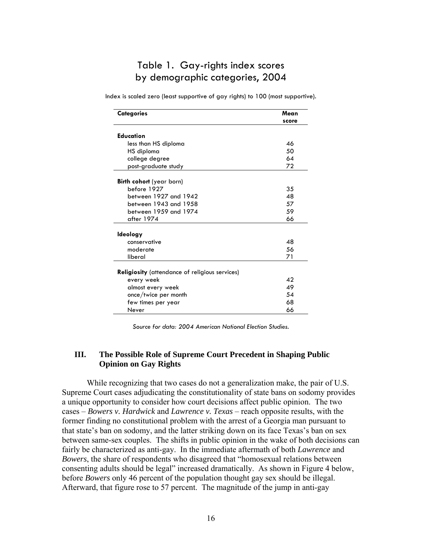# Table 1. Gay-rights index scores by demographic categories, 2004

Index is scaled zero (least supportive of gay rights) to 100 (most supportive).

| <b>Categories</b>                                     | Mean  |
|-------------------------------------------------------|-------|
|                                                       | score |
|                                                       |       |
| <b>Education</b>                                      |       |
| less than HS diploma                                  | 46    |
| HS diploma                                            | 50    |
| college degree                                        | 64    |
| post-graduate study                                   | 72    |
| <b>Birth cohort</b> (year born)                       |       |
| before 1927                                           | 35    |
| between 1927 and 1942                                 | 48    |
| between 1943 and 1958                                 | 57    |
| between 1959 and 1974                                 | 59    |
| after 1974                                            | 66    |
|                                                       |       |
| Ideology                                              |       |
| conservative                                          | 48    |
| moderate                                              | 56    |
| liberal                                               | 71    |
| <b>Religiosity</b> (attendance of religious services) |       |
| every week                                            | 42    |
| almost every week                                     | 49    |
| once/twice per month                                  | 54    |
| few times per year                                    | 68    |
| Never                                                 | 66    |

*Source for data: 2004 American National Election Studies.* 

# **III. The Possible Role of Supreme Court Precedent in Shaping Public Opinion on Gay Rights**

While recognizing that two cases do not a generalization make, the pair of U.S. Supreme Court cases adjudicating the constitutionality of state bans on sodomy provides a unique opportunity to consider how court decisions affect public opinion. The two cases – *Bowers v. Hardwick* and *Lawrence v. Texas* – reach opposite results, with the former finding no constitutional problem with the arrest of a Georgia man pursuant to that state's ban on sodomy, and the latter striking down on its face Texas's ban on sex between same-sex couples. The shifts in public opinion in the wake of both decisions can fairly be characterized as anti-gay. In the immediate aftermath of both *Lawrence* and *Bowers*, the share of respondents who disagreed that "homosexual relations between consenting adults should be legal" increased dramatically. As shown in Figure 4 below, before *Bowers* only 46 percent of the population thought gay sex should be illegal. Afterward, that figure rose to 57 percent. The magnitude of the jump in anti-gay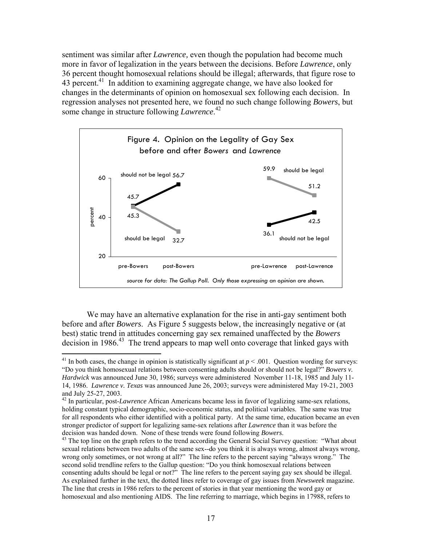sentiment was similar after *Lawrence,* even though the population had become much more in favor of legalization in the years between the decisions. Before *Lawrence*, only 36 percent thought homosexual relations should be illegal; afterwards, that figure rose to 43 percent.<sup>41</sup> In addition to examining aggregate change, we have also looked for changes in the determinants of opinion on homosexual sex following each decision. In regression analyses not presented here, we found no such change following *Bowers*, but some change in structure following *Lawrence*. [42](#page-17-1)



We may have an alternative explanation for the rise in anti-gay sentiment both before and after *Bowers*. As Figure 5 suggests below, the increasingly negative or (at best) static trend in attitudes concerning gay sex remained unaffected by the *Bowers*  $decision in 1986<sup>43</sup>$  The trend appears to map well onto coverage that linked gays with

<span id="page-17-0"></span><sup>&</sup>lt;sup>41</sup> In both cases, the change in opinion is statistically significant at  $p < .001$ . Question wording for surveys: "Do you think homosexual relations between consenting adults should or should not be legal?" *Bowers v. Hardwick* was announced June 30, 1986; surveys were administered November 11-18, 1985 and July 11- 14, 1986. *Lawrence v. Texas* was announced June 26, 2003; surveys were administered May 19-21, 2003 and July 25-27, 2003. <sup>42</sup> In particular, post-*Lawrence* African Americans became less in favor of legalizing same-sex relations,

<span id="page-17-1"></span>holding constant typical demographic, socio-economic status, and political variables. The same was true for all respondents who either identified with a political party. At the same time, education became an even stronger predictor of support for legalizing same-sex relations after *Lawrence* than it was before the

<span id="page-17-2"></span>decision was handed down. None of these trends were found following *Bowers*.<br><sup>43</sup> The top line on the graph refers to the trend according the General Social Survey question: "What about sexual relations between two adults of the same sex--do you think it is always wrong, almost always wrong, wrong only sometimes, or not wrong at all?" The line refers to the percent saying "always wrong." The second solid trendline refers to the Gallup question: "Do you think homosexual relations between consenting adults should be legal or not?" The line refers to the percent saying gay sex should be illegal. As explained further in the text, the dotted lines refer to coverage of gay issues from *Newsweek* magazine. The line that crests in 1986 refers to the percent of stories in that year mentioning the word gay or homosexual and also mentioning AIDS. The line referring to marriage, which begins in 17988, refers to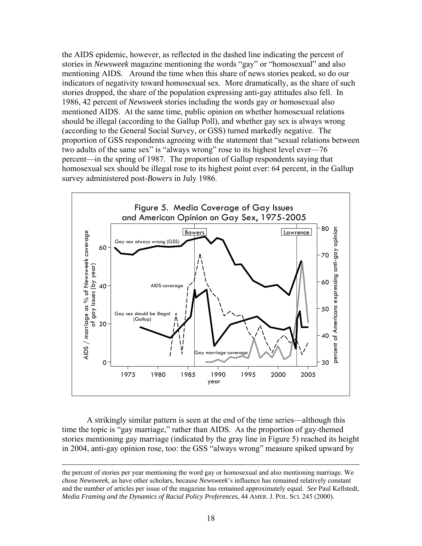the AIDS epidemic, however, as reflected in the dashed line indicating the percent of stories in *Newsweek* magazine mentioning the words "gay" or "homosexual" and also mentioning AIDS. Around the time when this share of news stories peaked, so do our indicators of negativity toward homosexual sex. More dramatically, as the share of such stories dropped, the share of the population expressing anti-gay attitudes also fell. In 1986, 42 percent of *Newsweek* stories including the words gay or homosexual also mentioned AIDS. At the same time, public opinion on whether homosexual relations should be illegal (according to the Gallup Poll), and whether gay sex is always wrong (according to the General Social Survey, or GSS) turned markedly negative. The proportion of GSS respondents agreeing with the statement that "sexual relations between two adults of the same sex" is "always wrong" rose to its highest level ever—76 percent—in the spring of 1987. The proportion of Gallup respondents saying that homosexual sex should be illegal rose to its highest point ever: 64 percent, in the Gallup survey administered post-*Bowers* in July 1986.



A strikingly similar pattern is seen at the end of the time series—although this time the topic is "gay marriage," rather than AIDS. As the proportion of gay-themed stories mentioning gay marriage (indicated by the gray line in Figure 5) reached its height in 2004, anti-gay opinion rose, too: the GSS "always wrong" measure spiked upward by

the percent of stories per year mentioning the word gay or homosexual and also mentioning marriage. We chose *Newsweek*, as have other scholars, because *Newsweek*'s influence has remained relatively constant and the number of articles per issue of the magazine has remained approximately equal. *See* Paul Kellstedt, *Media Framing and the Dynamics of Racial Policy Preferences*, 44 AMER. J. POL. SCI. 245 (2000).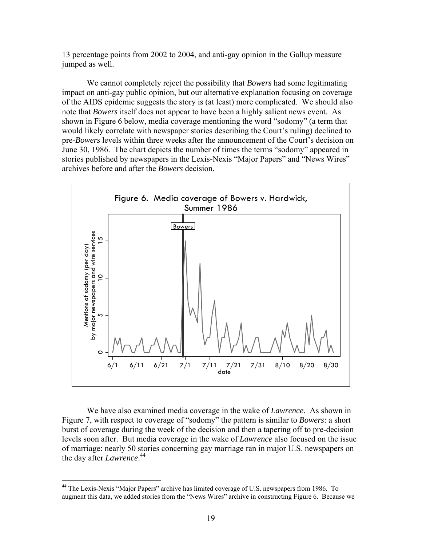13 percentage points from 2002 to 2004, and anti-gay opinion in the Gallup measure jumped as well.

We cannot completely reject the possibility that *Bowers* had some legitimating impact on anti-gay public opinion, but our alternative explanation focusing on coverage of the AIDS epidemic suggests the story is (at least) more complicated. We should also note that *Bowers* itself does not appear to have been a highly salient news event. As shown in Figure 6 below, media coverage mentioning the word "sodomy" (a term that would likely correlate with newspaper stories describing the Court's ruling) declined to pre-*Bowers* levels within three weeks after the announcement of the Court's decision on June 30, 1986. The chart depicts the number of times the terms "sodomy" appeared in stories published by newspapers in the Lexis-Nexis "Major Papers" and "News Wires" archives before and after the *Bowers* decision.



We have also examined media coverage in the wake of *Lawrence*. As shown in Figure 7, with respect to coverage of "sodomy" the pattern is similar to *Bowers*: a short burst of coverage during the week of the decision and then a tapering off to pre-decision levels soon after. But media coverage in the wake of *Lawrence* also focused on the issue of marriage: nearly 50 stories concerning gay marriage ran in major U.S. newspapers on the day after *Lawrence*. [44](#page-19-0) 

1

<span id="page-19-0"></span><sup>44</sup> The Lexis-Nexis "Major Papers" archive has limited coverage of U.S. newspapers from 1986. To augment this data, we added stories from the "News Wires" archive in constructing Figure 6. Because we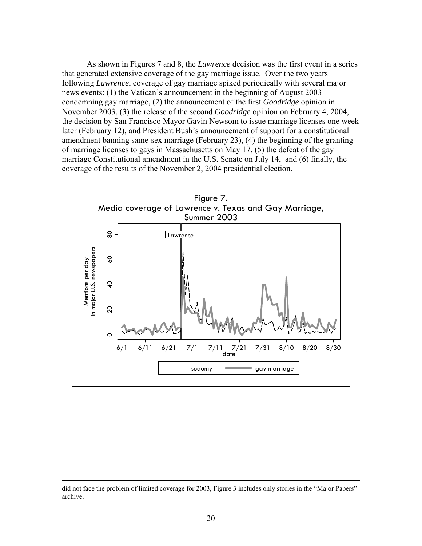As shown in Figures 7 and 8, the *Lawrence* decision was the first event in a series that generated extensive coverage of the gay marriage issue. Over the two years following *Lawrence*, coverage of gay marriage spiked periodically with several major news events: (1) the Vatican's announcement in the beginning of August 2003 condemning gay marriage, (2) the announcement of the first *Goodridge* opinion in November 2003, (3) the release of the second *Goodridge* opinion on February 4, 2004, the decision by San Francisco Mayor Gavin Newsom to issue marriage licenses one week later (February 12), and President Bush's announcement of support for a constitutional amendment banning same-sex marriage (February 23), (4) the beginning of the granting of marriage licenses to gays in Massachusetts on May 17, (5) the defeat of the gay marriage Constitutional amendment in the U.S. Senate on July 14, and (6) finally, the coverage of the results of the November 2, 2004 presidential election.



did not face the problem of limited coverage for 2003, Figure 3 includes only stories in the "Major Papers" archive.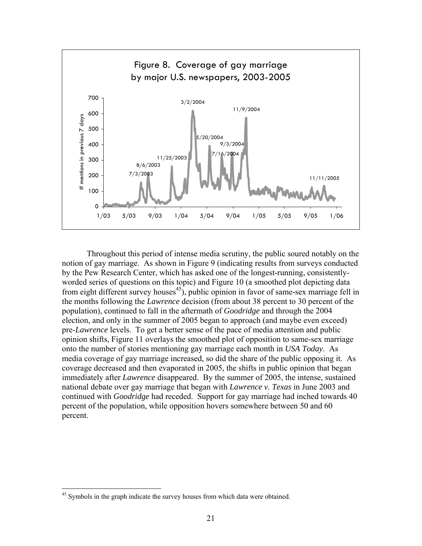

Throughout this period of intense media scrutiny, the public soured notably on the notion of gay marriage. As shown in Figure 9 (indicating results from surveys conducted by the Pew Research Center, which has asked one of the longest-running, consistentlyworded series of questions on this topic) and Figure 10 (a smoothed plot depicting data from eight different survey houses<sup>45</sup>), public opinion in favor of same-sex marriage fell in the months following the *Lawrence* decision (from about 38 percent to 30 percent of the population), continued to fall in the aftermath of *Goodridge* and through the 2004 election, and only in the summer of 2005 began to approach (and maybe even exceed) pre-*Lawrence* levels. To get a better sense of the pace of media attention and public opinion shifts, Figure 11 overlays the smoothed plot of opposition to same-sex marriage onto the number of stories mentioning gay marriage each month in *USA Today*. As media coverage of gay marriage increased, so did the share of the public opposing it. As coverage decreased and then evaporated in 2005, the shifts in public opinion that began immediately after *Lawrence* disappeared. By the summer of 2005, the intense, sustained national debate over gay marriage that began with *Lawrence v. Texas* in June 2003 and continued with *Goodridge* had receded. Support for gay marriage had inched towards 40 percent of the population, while opposition hovers somewhere between 50 and 60 percent.

<span id="page-21-0"></span><sup>&</sup>lt;sup>45</sup> Symbols in the graph indicate the survey houses from which data were obtained.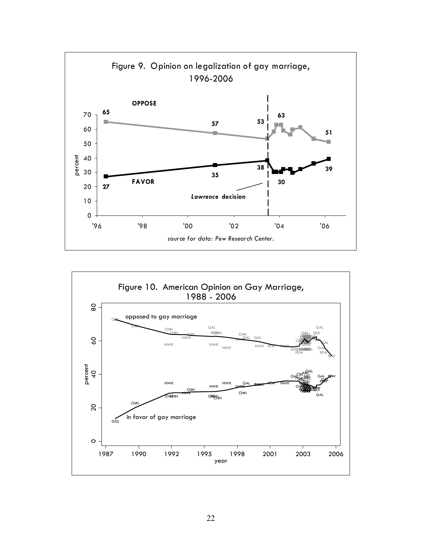

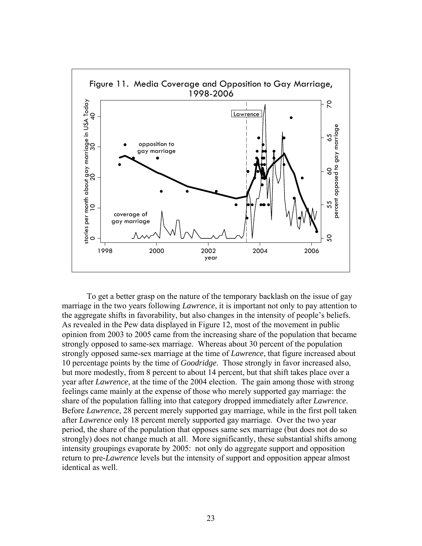

To get a better grasp on the nature of the temporary backlash on the issue of gay marriage in the two years following *Lawrence*, it is important not only to pay attention to the aggregate shifts in favorability, but also changes in the intensity of people's beliefs. As revealed in the Pew data displayed in Figure 12, most of the movement in public opinion from 2003 to 2005 came from the increasing share of the population that became strongly opposed to same-sex marriage. Whereas about 30 percent of the population strongly opposed same-sex marriage at the time of *Lawrence*, that figure increased about 10 percentage points by the time of *Goodridge*. Those strongly in favor increased also, but more modestly, from 8 percent to about 14 percent, but that shift takes place over a year after *Lawrence*, at the time of the 2004 election. The gain among those with strong feelings came mainly at the expense of those who merely supported gay marriage: the share of the population falling into that category dropped immediately after *Lawrence*. Before *Lawrence*, 28 percent merely supported gay marriage, while in the first poll taken after *Lawrence* only 18 percent merely supported gay marriage. Over the two year period, the share of the population that opposes same sex marriage (but does not do so strongly) does not change much at all. More significantly, these substantial shifts among intensity groupings evaporate by 2005: not only do aggregate support and opposition return to pre-*Lawrence* levels but the intensity of support and opposition appear almost identical as well.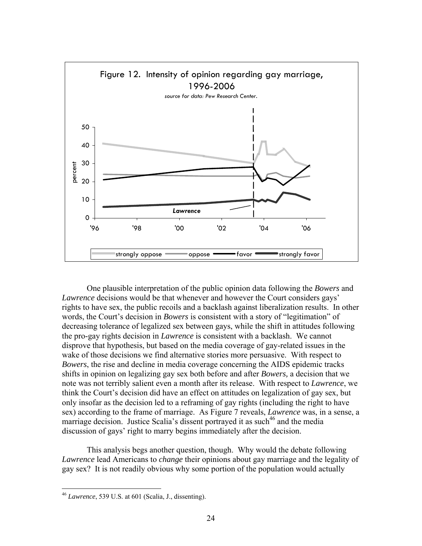

One plausible interpretation of the public opinion data following the *Bowers* and *Lawrence* decisions would be that whenever and however the Court considers gays' rights to have sex, the public recoils and a backlash against liberalization results. In other words, the Court's decision in *Bowers* is consistent with a story of "legitimation" of decreasing tolerance of legalized sex between gays, while the shift in attitudes following the pro-gay rights decision in *Lawrence* is consistent with a backlash. We cannot disprove that hypothesis, but based on the media coverage of gay-related issues in the wake of those decisions we find alternative stories more persuasive. With respect to *Bowers*, the rise and decline in media coverage concerning the AIDS epidemic tracks shifts in opinion on legalizing gay sex both before and after *Bowers,* a decision that we note was not terribly salient even a month after its release. With respect to *Lawrence*, we think the Court's decision did have an effect on attitudes on legalization of gay sex, but only insofar as the decision led to a reframing of gay rights (including the right to have sex) according to the frame of marriage. As Figure 7 reveals, *Lawrence* was, in a sense, a marriage decision. Justice Scalia's dissent portrayed it as such<sup>46</sup> and the media discussion of gays' right to marry begins immediately after the decision.

This analysis begs another question, though. Why would the debate following *Lawrence* lead Americans to *change* their opinions about gay marriage and the legality of gay sex? It is not readily obvious why some portion of the population would actually

1

<span id="page-24-0"></span><sup>46</sup> *Lawrence*, 539 U.S. at 601 (Scalia, J., dissenting).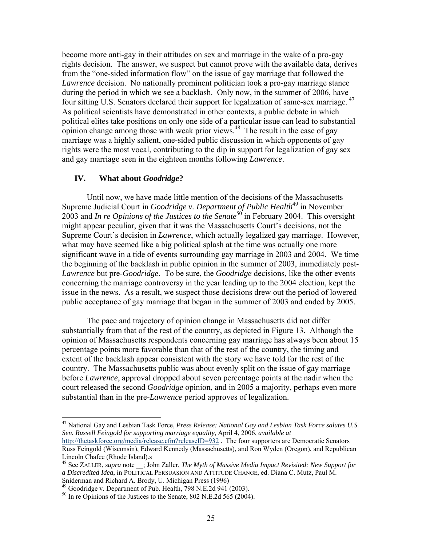become more anti-gay in their attitudes on sex and marriage in the wake of a pro-gay rights decision. The answer, we suspect but cannot prove with the available data, derives from the "one-sided information flow" on the issue of gay marriage that followed the *Lawrence* decision. No nationally prominent politician took a pro-gay marriage stance during the period in which we see a backlash. Only now, in the summer of 2006, have four sitting U.S. Senators declared their support for legalization of same-sex marriage. [47](#page-25-0)  As political scientists have demonstrated in other contexts, a public debate in which political elites take positions on only one side of a particular issue can lead to substantial opinion change among those with weak prior views. $48$  The result in the case of gay marriage was a highly salient, one-sided public discussion in which opponents of gay rights were the most vocal, contributing to the dip in support for legalization of gay sex and gay marriage seen in the eighteen months following *Lawrence*.

# **IV. What about** *Goodridge***?**

Until now, we have made little mention of the decisions of the Massachusetts Supreme Judicial Court in *Goodridge v. Department of Public Health*<sup>[49](#page-25-2)</sup> in November 2003 and *In re Opinions of the Justices to the Senate<sup>50</sup>* in February 2004. This oversight might appear peculiar, given that it was the Massachusetts Court's decisions, not the Supreme Court's decision in *Lawrence*, which actually legalized gay marriage. However, what may have seemed like a big political splash at the time was actually one more significant wave in a tide of events surrounding gay marriage in 2003 and 2004. We time the beginning of the backlash in public opinion in the summer of 2003, immediately post-*Lawrence* but pre-*Goodridge*. To be sure, the *Goodridge* decisions, like the other events concerning the marriage controversy in the year leading up to the 2004 election, kept the issue in the news. As a result, we suspect those decisions drew out the period of lowered public acceptance of gay marriage that began in the summer of 2003 and ended by 2005.

The pace and trajectory of opinion change in Massachusetts did not differ substantially from that of the rest of the country, as depicted in Figure 13. Although the opinion of Massachusetts respondents concerning gay marriage has always been about 15 percentage points more favorable than that of the rest of the country, the timing and extent of the backlash appear consistent with the story we have told for the rest of the country. The Massachusetts public was about evenly split on the issue of gay marriage before *Lawrence*, approval dropped about seven percentage points at the nadir when the court released the second *Goodridge* opinion, and in 2005 a majority, perhaps even more substantial than in the pre-*Lawrence* period approves of legalization.

<span id="page-25-0"></span><sup>47</sup> National Gay and Lesbian Task Force, *Press Release: National Gay and Lesbian Task Force salutes U.S. Sen. Russell Feingold for supporting marriage equality*, April 4, 2006, *available at*

<http://thetaskforce.org/media/release.cfm?releaseID=932>. The four supporters are Democratic Senators Russ Feingold (Wisconsin), Edward Kennedy (Massachusetts), and Ron Wyden (Oregon), and Republican Lincoln Chafee (Rhode Island).s<br><sup>48</sup> See ZALLER, *supra* note \_\_; John Zaller, *The Myth of Massive Media Impact Revisited: New Support for* 

<span id="page-25-1"></span>*a Discredited Idea*, in POLITICAL PERSUASION AND ATTITUDE CHANGE, ed. Diana C. Mutz, Paul M. Sniderman and Richard A. Brody, U. Michigan Press (1996)<br><sup>49</sup> Goodridge v. Department of Pub. Health, 798 N.E.2d 941 (2003).<br><sup>50</sup> In re Opinions of the Justices to the Senate, 802 N.E.2d 565 (2004).

<span id="page-25-2"></span>

<span id="page-25-3"></span>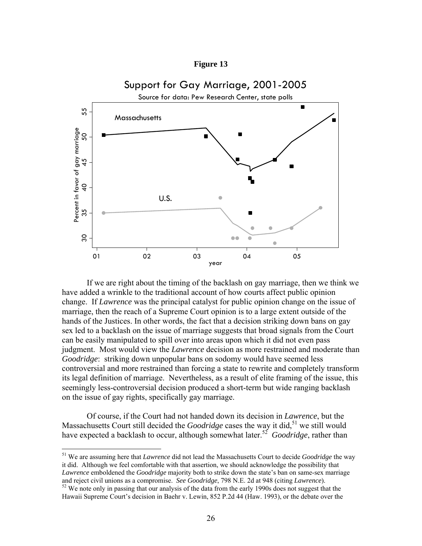### **Figure 13**



If we are right about the timing of the backlash on gay marriage, then we think we have added a wrinkle to the traditional account of how courts affect public opinion change. If *Lawrence* was the principal catalyst for public opinion change on the issue of marriage, then the reach of a Supreme Court opinion is to a large extent outside of the hands of the Justices. In other words, the fact that a decision striking down bans on gay sex led to a backlash on the issue of marriage suggests that broad signals from the Court can be easily manipulated to spill over into areas upon which it did not even pass judgment. Most would view the *Lawrence* decision as more restrained and moderate than *Goodridge*: striking down unpopular bans on sodomy would have seemed less controversial and more restrained than forcing a state to rewrite and completely transform its legal definition of marriage. Nevertheless, as a result of elite framing of the issue, this seemingly less-controversial decision produced a short-term but wide ranging backlash on the issue of gay rights, specifically gay marriage.

Of course, if the Court had not handed down its decision in *Lawrence*, but the Massachusetts Court still decided the *Goodridge* cases the way it did,<sup>51</sup> we still would have expected a backlash to occur, although somewhat later.<sup>52</sup> *Goodridge*, rather than

<span id="page-26-0"></span><sup>51</sup> We are assuming here that *Lawrence* did not lead the Massachusetts Court to decide *Goodridge* the way it did. Although we feel comfortable with that assertion, we should acknowledge the possibility that *Lawrence* emboldened the *Goodridge* majority both to strike down the state's ban on same-sex marriage and reject civil unions as a compromise. *See Goodridge*, 798 N.E. 2d at 948 (citing *Lawrence*).<br><sup>52</sup> We note only in passing that our analysis of the data from the early 1990s does not suggest that the

<span id="page-26-1"></span>Hawaii Supreme Court's decision in Baehr v. Lewin, 852 P.2d 44 (Haw. 1993), or the debate over the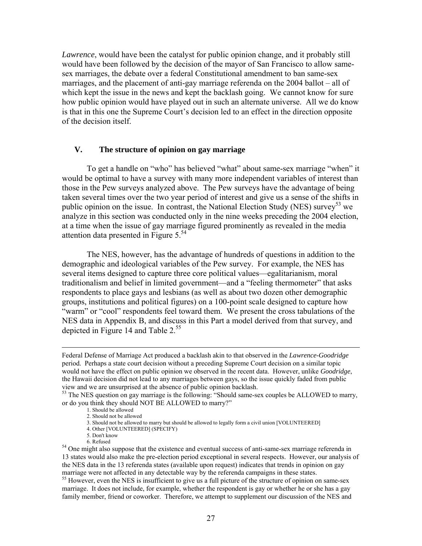*Lawrence*, would have been the catalyst for public opinion change, and it probably still would have been followed by the decision of the mayor of San Francisco to allow samesex marriages, the debate over a federal Constitutional amendment to ban same-sex marriages, and the placement of anti-gay marriage referenda on the 2004 ballot – all of which kept the issue in the news and kept the backlash going. We cannot know for sure how public opinion would have played out in such an alternate universe. All we do know is that in this one the Supreme Court's decision led to an effect in the direction opposite of the decision itself.

### **V. The structure of opinion on gay marriage**

To get a handle on "who" has believed "what" about same-sex marriage "when" it would be optimal to have a survey with many more independent variables of interest than those in the Pew surveys analyzed above. The Pew surveys have the advantage of being taken several times over the two year period of interest and give us a sense of the shifts in public opinion on the issue. In contrast, the National Election Study (NES) survey<sup>53</sup> we analyze in this section was conducted only in the nine weeks preceding the 2004 election, at a time when the issue of gay marriage figured prominently as revealed in the media attention data presented in Figure  $5^{54}$ .

The NES, however, has the advantage of hundreds of questions in addition to the demographic and ideological variables of the Pew survey. For example, the NES has several items designed to capture three core political values—egalitarianism, moral traditionalism and belief in limited government—and a "feeling thermometer" that asks respondents to place gays and lesbians (as well as about two dozen other demographic groups, institutions and political figures) on a 100-point scale designed to capture how "warm" or "cool" respondents feel toward them. We present the cross tabulations of the NES data in Appendix B, and discuss in this Part a model derived from that survey, and depicted in Figure 14 and Table 2.<sup>[55](#page-27-2)</sup>

<span id="page-27-2"></span>marriage. It does not include, for example, whether the respondent is gay or whether he or she has a gay family member, friend or coworker. Therefore, we attempt to supplement our discussion of the NES and

Federal Defense of Marriage Act produced a backlash akin to that observed in the *Lawrence-Goodridge* period. Perhaps a state court decision without a preceding Supreme Court decision on a similar topic would not have the effect on public opinion we observed in the recent data. However, unlike *Goodridge*, the Hawaii decision did not lead to any marriages between gays, so the issue quickly faded from public view and we are unsurprised at the absence of public opinion backlash.

<span id="page-27-0"></span><sup>&</sup>lt;sup>53</sup> The NES question on gay marriage is the following: "Should same-sex couples be ALLOWED to marry, or do you think they should NOT BE ALLOWED to marry?"<br>1. Should be allowed

<sup>2.</sup> Should not be allowed

<sup>3.</sup> Should not be allowed to marry but should be allowed to legally form a civil union [VOLUNTEERED]

<sup>4.</sup> Other [VOLUNTEERED] (SPECIFY) 5. Don't know

<span id="page-27-1"></span><sup>&</sup>lt;sup>54</sup> One might also suppose that the existence and eventual success of anti-same-sex marriage referenda in 13 states would also make the pre-election period exceptional in several respects. However, our analysis of the NES data in the 13 referenda states (available upon request) indicates that trends in opinion on gay marriage were not affected in any detectable way by the referenda campaigns in these states.<br><sup>55</sup> However, even the NES is insufficient to give us a full picture of the structure of opinion on same-sex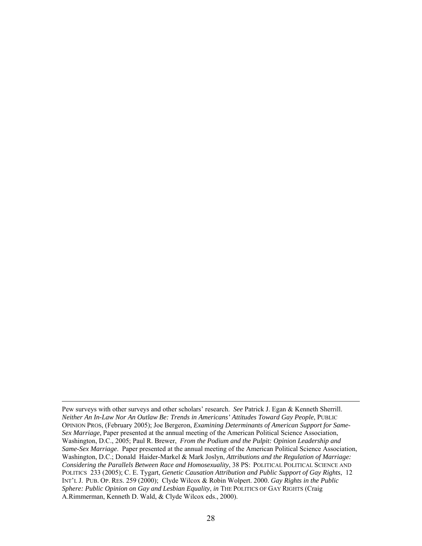Pew surveys with other surveys and other scholars' research. *See* Patrick J. Egan & Kenneth Sherrill. *Neither An In-Law Nor An Outlaw Be: Trends in Americans' Attitudes Toward Gay People*, PUBLIC OPINION PROS, (February 2005); Joe Bergeron, *Examining Determinants of American Support for Same-Sex Marriage*, Paper presented at the annual meeting of the American Political Science Association, Washington, D.C., 2005; Paul R. Brewer, *From the Podium and the Pulpit: Opinion Leadership and Same-Sex Marriage*. Paper presented at the annual meeting of the American Political Science Association, Washington, D.C.; Donald Haider-Markel & Mark Joslyn, *Attributions and the Regulation of Marriage: Considering the Parallels Between Race and Homosexuality*, 38 PS: POLITICAL POLITICAL SCIENCE AND POLITICS 233 (2005); C. E. Tygart, *Genetic Causation Attribution and Public Support of Gay Rights*, 12 INT'L J. PUB. OP. RES. 259 (2000); Clyde Wilcox & Robin Wolpert. 2000. *Gay Rights in the Public Sphere: Public Opinion on Gay and Lesbian Equality*, *in* THE POLITICS OF GAY RIGHTS (Craig A.Rimmerman, Kenneth D. Wald, & Clyde Wilcox eds., 2000).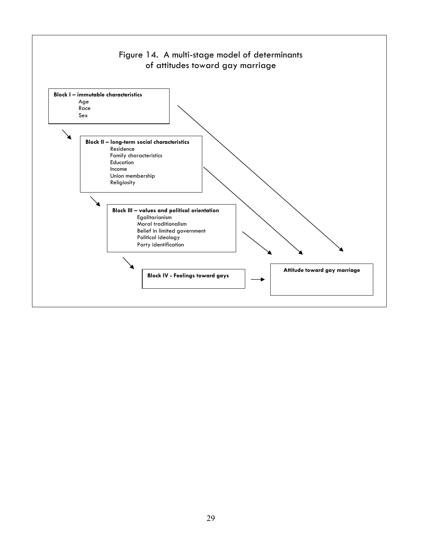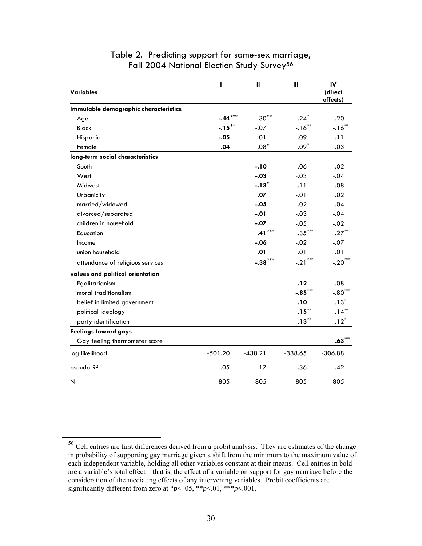| <b>Variables</b>                      | т         | $\mathbf{u}$ | Ш                   | IV<br>(direct<br>effects) |
|---------------------------------------|-----------|--------------|---------------------|---------------------------|
| Immutable demographic characteristics |           |              |                     |                           |
| Age                                   | $-.44***$ | $-.30**$     | $-.24*$             | $-.20$                    |
| <b>Black</b>                          | $-.15***$ | $-.07$       | $-16$ **            | $-16$ **                  |
| Hispanic                              | $-.05$    | $-.01$       | $-.09$              | $-.11$                    |
| Female                                | .04       | $.08*$       | $.09*$              | .03                       |
| long-term social characteristics      |           |              |                     |                           |
| South                                 |           | $-.10$       | $-0.06$             | $-.02$                    |
| West                                  |           | $-.03$       | $-.03$              | $-.04$                    |
| Midwest                               |           | $-.13*$      | $-.11$              | $-.08$                    |
| Urbanicity                            |           | .07          | $-.01$              | .02                       |
| married/widowed                       |           | $-.05$       | $-.02$              | $-.04$                    |
| divorced/separated                    |           | $-.01$       | $-.03$              | $-.04$                    |
| children in household                 |           | $-.07$       | $-.05$              | $-.02$                    |
| Education                             |           | $.41***$     | $.35***$            | $.27***$                  |
| Income                                |           | $-.06$       | $-.02$              | $-.07$                    |
| union household                       |           | .01          | .01                 | .01                       |
| attendance of religious services      |           | $-.38***$    | ***<br>$-.21$       | $-.20$ ***                |
| values and political orientation      |           |              |                     |                           |
| Egalitarianism                        |           |              | .12                 | .08                       |
| moral traditionalism                  |           |              | $-.85***$           | $-.80***$                 |
| belief in limited government          |           |              | .10                 | $.13*$                    |
| political ideology                    |           |              | $\mathbf{.15}^{**}$ | $.14***$                  |
| party identification                  |           |              | $.13***$            | $.12*$                    |
| <b>Feelings toward gays</b>           |           |              |                     |                           |
| Gay feeling thermometer score         |           |              |                     | $.63***$                  |
| log likelihood                        | $-501.20$ | $-438.21$    | $-338.65$           | $-306.88$                 |
| pseudo-R <sup>2</sup>                 | .05       | .17          | .36                 | .42                       |
| Ν                                     | 805       | 805          | 805                 | 805                       |

# Table 2. Predicting support for same-sex marriage, Fall 2004 National Election Study Survey<sup>[56](#page-30-0)</sup>

<span id="page-30-0"></span> <sup>56</sup> Cell entries are first differences derived from a probit analysis. They are estimates of the change in probability of supporting gay marriage given a shift from the minimum to the maximum value of each independent variable, holding all other variables constant at their means. Cell entries in bold are a variable's total effect—that is, the effect of a variable on support for gay marriage before the consideration of the mediating effects of any intervening variables. Probit coefficients are significantly different from zero at  $*p$ < .05,  $**p$ <.01,  $**p$ <.001.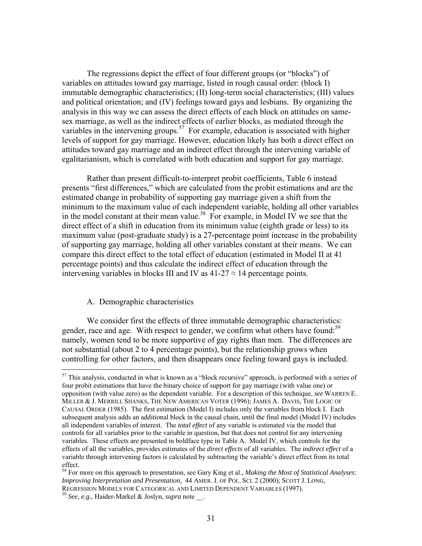The regressions depict the effect of four different groups (or "blocks") of variables on attitudes toward gay marriage, listed in rough causal order: (block I) immutable demographic characteristics; (II) long-term social characteristics; (III) values and political orientation; and (IV) feelings toward gays and lesbians. By organizing the analysis in this way we can assess the direct effects of each block on attitudes on samesex marriage, as well as the indirect effects of earlier blocks, as mediated through the variables in the intervening groups.<sup>57</sup> For example, education is associated with higher levels of support for gay marriage. However, education likely has both a direct effect on attitudes toward gay marriage and an indirect effect through the intervening variable of egalitarianism, which is correlated with both education and support for gay marriage.

Rather than present difficult-to-interpret probit coefficients, Table 6 instead presents "first differences," which are calculated from the probit estimations and are the estimated change in probability of supporting gay marriage given a shift from the minimum to the maximum value of each independent variable, holding all other variables in the model constant at their mean value.<sup>58</sup> For example, in Model IV we see that the direct effect of a shift in education from its minimum value (eighth grade or less) to its maximum value (post-graduate study) is a 27-percentage point increase in the probability of supporting gay marriage, holding all other variables constant at their means. We can compare this direct effect to the total effect of education (estimated in Model II at 41 percentage points) and thus calculate the indirect effect of education through the intervening variables in blocks III and IV as  $41-27 \approx 14$  percentage points.

### A. Demographic characteristics

 $\overline{a}$ 

We consider first the effects of three immutable demographic characteristics: gender, race and age. With respect to gender, we confirm what others have found:<sup>[59](#page-31-2)</sup> namely, women tend to be more supportive of gay rights than men. The differences are not substantial (about 2 to 4 percentage points), but the relationship grows when controlling for other factors, and then disappears once feeling toward gays is included.

<span id="page-31-0"></span> $57$  This analysis, conducted in what is known as a "block recursive" approach, is performed with a series of four probit estimations that have the binary choice of support for gay marriage (with value one) or opposition (with value zero) as the dependent variable. For a description of this technique, *see* WARREN E. MILLER & J. MERRILL SHANKS, THE NEW AMERICAN VOTER (1996); JAMES A. DAVIS, THE LOGIC OF CAUSAL ORDER (1985). The first estimation (Model I) includes only the variables from block I. Each subsequent analysis adds an additional block in the causal chain, until the final model (Model IV) includes all independent variables of interest. The *total effect* of any variable is estimated via the model that controls for all variables prior to the variable in question, but that does not control for any intervening variables. These effects are presented in boldface type in Table A. Model IV, which controls for the effects of all the variables, provides estimates of the *direct effects* of all variables. The *indirect effect* of a variable through intervening factors is calculated by subtracting the variable's direct effect from its total effect.

<span id="page-31-2"></span><span id="page-31-1"></span><sup>58</sup> For more on this approach to presentation, see Gary King et al., *Making the Most of Statistical Analyses: Improving Interpretation and Presentation,* 44 AMER. J. OF POL. SCI. 2 (2000); SCOTT J. LONG, REGRESSION MODELS FOR CATEGORICAL AND LIMITED DEPENDENT VARIABLES (1997). 59 *See, e.g.*, Haider-Markel & Joslyn, *supra* note \_\_.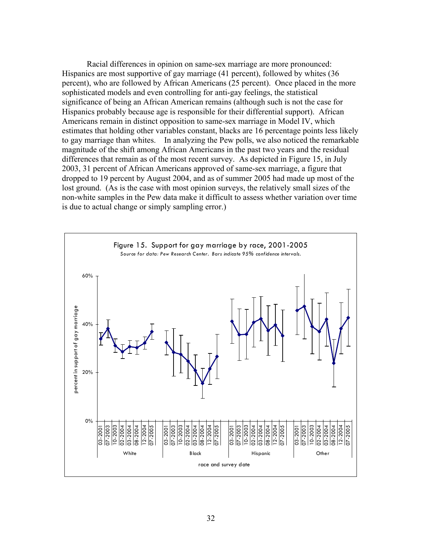Racial differences in opinion on same-sex marriage are more pronounced: Hispanics are most supportive of gay marriage (41 percent), followed by whites (36 percent), who are followed by African Americans (25 percent). Once placed in the more sophisticated models and even controlling for anti-gay feelings, the statistical significance of being an African American remains (although such is not the case for Hispanics probably because age is responsible for their differential support). African Americans remain in distinct opposition to same-sex marriage in Model IV, which estimates that holding other variables constant, blacks are 16 percentage points less likely to gay marriage than whites. In analyzing the Pew polls, we also noticed the remarkable magnitude of the shift among African Americans in the past two years and the residual differences that remain as of the most recent survey. As depicted in Figure 15, in July 2003, 31 percent of African Americans approved of same-sex marriage, a figure that dropped to 19 percent by August 2004, and as of summer 2005 had made up most of the lost ground. (As is the case with most opinion surveys, the relatively small sizes of the non-white samples in the Pew data make it difficult to assess whether variation over time is due to actual change or simply sampling error.)

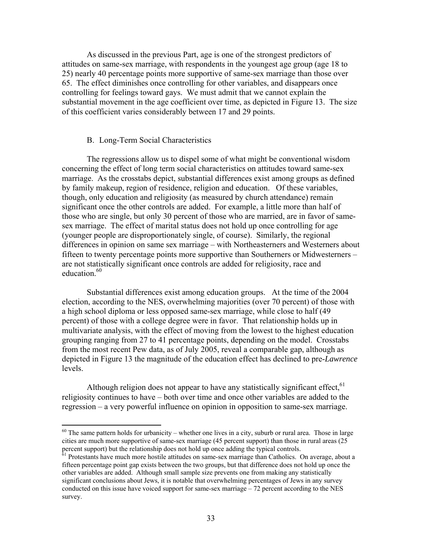As discussed in the previous Part, age is one of the strongest predictors of attitudes on same-sex marriage, with respondents in the youngest age group (age 18 to 25) nearly 40 percentage points more supportive of same-sex marriage than those over 65. The effect diminishes once controlling for other variables, and disappears once controlling for feelings toward gays. We must admit that we cannot explain the substantial movement in the age coefficient over time, as depicted in Figure 13. The size of this coefficient varies considerably between 17 and 29 points.

### B. Long-Term Social Characteristics

<u>.</u>

The regressions allow us to dispel some of what might be conventional wisdom concerning the effect of long term social characteristics on attitudes toward same-sex marriage. As the crosstabs depict, substantial differences exist among groups as defined by family makeup, region of residence, religion and education. Of these variables, though, only education and religiosity (as measured by church attendance) remain significant once the other controls are added. For example, a little more than half of those who are single, but only 30 percent of those who are married, are in favor of samesex marriage. The effect of marital status does not hold up once controlling for age (younger people are disproportionately single, of course). Similarly, the regional differences in opinion on same sex marriage – with Northeasterners and Westerners about fifteen to twenty percentage points more supportive than Southerners or Midwesterners – are not statistically significant once controls are added for religiosity, race and education.<sup>[60](#page-33-0)</sup>

Substantial differences exist among education groups. At the time of the 2004 election, according to the NES, overwhelming majorities (over 70 percent) of those with a high school diploma or less opposed same-sex marriage, while close to half (49 percent) of those with a college degree were in favor. That relationship holds up in multivariate analysis, with the effect of moving from the lowest to the highest education grouping ranging from 27 to 41 percentage points, depending on the model. Crosstabs from the most recent Pew data, as of July 2005, reveal a comparable gap, although as depicted in Figure 13 the magnitude of the education effect has declined to pre-*Lawrence* levels.

Although religion does not appear to have any statistically significant effect. $61$ religiosity continues to have – both over time and once other variables are added to the regression – a very powerful influence on opinion in opposition to same-sex marriage.

<span id="page-33-0"></span> $60$  The same pattern holds for urbanicity – whether one lives in a city, suburb or rural area. Those in large cities are much more supportive of same-sex marriage (45 percent support) than those in rural areas (25 percent support) but the relationship does not hold up once adding the typical controls.<br><sup>61</sup> Protestants have much more hostile attitudes on same-sex marriage than Catholics. On average, about a

<span id="page-33-1"></span>fifteen percentage point gap exists between the two groups, but that difference does not hold up once the other variables are added. Although small sample size prevents one from making any statistically significant conclusions about Jews, it is notable that overwhelming percentages of Jews in any survey conducted on this issue have voiced support for same-sex marriage  $-72$  percent according to the NES survey.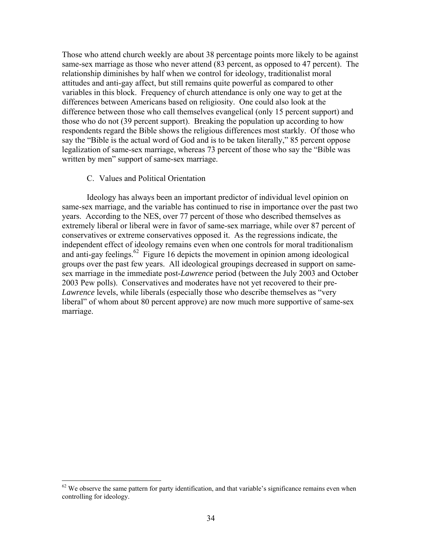Those who attend church weekly are about 38 percentage points more likely to be against same-sex marriage as those who never attend (83 percent, as opposed to 47 percent). The relationship diminishes by half when we control for ideology, traditionalist moral attitudes and anti-gay affect, but still remains quite powerful as compared to other variables in this block. Frequency of church attendance is only one way to get at the differences between Americans based on religiosity. One could also look at the difference between those who call themselves evangelical (only 15 percent support) and those who do not (39 percent support). Breaking the population up according to how respondents regard the Bible shows the religious differences most starkly. Of those who say the "Bible is the actual word of God and is to be taken literally," 85 percent oppose legalization of same-sex marriage, whereas 73 percent of those who say the "Bible was written by men" support of same-sex marriage.

### C. Values and Political Orientation

 $\overline{a}$ 

Ideology has always been an important predictor of individual level opinion on same-sex marriage, and the variable has continued to rise in importance over the past two years. According to the NES, over 77 percent of those who described themselves as extremely liberal or liberal were in favor of same-sex marriage, while over 87 percent of conservatives or extreme conservatives opposed it. As the regressions indicate, the independent effect of ideology remains even when one controls for moral traditionalism and anti-gay feelings.<sup>62</sup> Figure 16 depicts the movement in opinion among ideological groups over the past few years. All ideological groupings decreased in support on samesex marriage in the immediate post-*Lawrence* period (between the July 2003 and October 2003 Pew polls). Conservatives and moderates have not yet recovered to their pre-*Lawrence* levels, while liberals (especially those who describe themselves as "very liberal" of whom about 80 percent approve) are now much more supportive of same-sex marriage.

<span id="page-34-0"></span> $62$  We observe the same pattern for party identification, and that variable's significance remains even when controlling for ideology.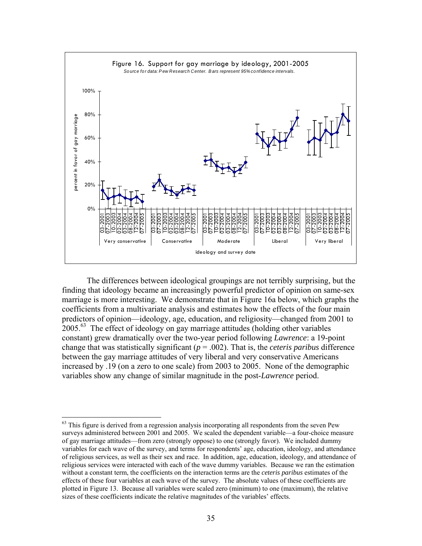

The differences between ideological groupings are not terribly surprising, but the finding that ideology became an increasingly powerful predictor of opinion on same-sex marriage is more interesting. We demonstrate that in Figure 16a below, which graphs the coefficients from a multivariate analysis and estimates how the effects of the four main predictors of opinion—ideology, age, education, and religiosity—changed from 2001 to  $2005.<sup>63</sup>$  The effect of ideology on gay marriage attitudes (holding other variables constant) grew dramatically over the two-year period following *Lawrence*: a 19-point change that was statistically significant (*p* = .002). That is, the *ceteris paribus* difference between the gay marriage attitudes of very liberal and very conservative Americans increased by .19 (on a zero to one scale) from 2003 to 2005. None of the demographic variables show any change of similar magnitude in the post-*Lawrence* period.

<span id="page-35-0"></span><sup>&</sup>lt;sup>63</sup> This figure is derived from a regression analysis incorporating all respondents from the seven Pew surveys administered between 2001 and 2005. We scaled the dependent variable—a four-choice measure of gay marriage attitudes—from zero (strongly oppose) to one (strongly favor). We included dummy variables for each wave of the survey, and terms for respondents' age, education, ideology, and attendance of religious services, as well as their sex and race. In addition, age, education, ideology, and attendance of religious services were interacted with each of the wave dummy variables. Because we ran the estimation without a constant term, the coefficients on the interaction terms are the *ceteris paribus* estimates of the effects of these four variables at each wave of the survey. The absolute values of these coefficients are plotted in Figure 13. Because all variables were scaled zero (minimum) to one (maximum), the relative sizes of these coefficients indicate the relative magnitudes of the variables' effects.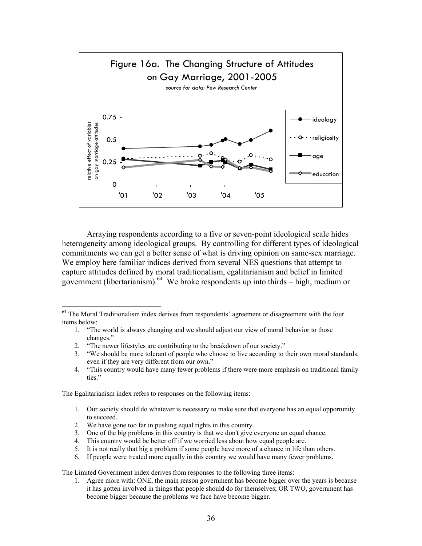

Arraying respondents according to a five or seven-point ideological scale hides heterogeneity among ideological groups. By controlling for different types of ideological commitments we can get a better sense of what is driving opinion on same-sex marriage. We employ here familiar indices derived from several NES questions that attempt to capture attitudes defined by moral traditionalism, egalitarianism and belief in limited government (libertarianism). [64](#page-36-0) We broke respondents up into thirds – high, medium or

- 1. "The world is always changing and we should adjust our view of moral behavior to those changes."
- 2. "The newer lifestyles are contributing to the breakdown of our society."
- 3. "We should be more tolerant of people who choose to live according to their own moral standards, even if they are very different from our own."
- 4. "This country would have many fewer problems if there were more emphasis on traditional family ties."

The Egalitarianism index refers to responses on the following items:

<u>.</u>

- 1. Our society should do whatever is necessary to make sure that everyone has an equal opportunity to succeed.
- 2. We have gone too far in pushing equal rights in this country.
- 3. One of the big problems in this country is that we don't give everyone an equal chance.
- 4. This country would be better off if we worried less about how equal people are.
- 5. It is not really that big a problem if some people have more of a chance in life than others.
- 6. If people were treated more equally in this country we would have many fewer problems.

The Limited Government index derives from responses to the following three items:

1. Agree more with: ONE, the main reason government has become bigger over the years is because it has gotten involved in things that people should do for themselves; OR TWO, government has become bigger because the problems we face have become bigger.

<span id="page-36-0"></span><sup>&</sup>lt;sup>64</sup> The Moral Traditionalism index derives from respondents' agreement or disagreement with the four items below: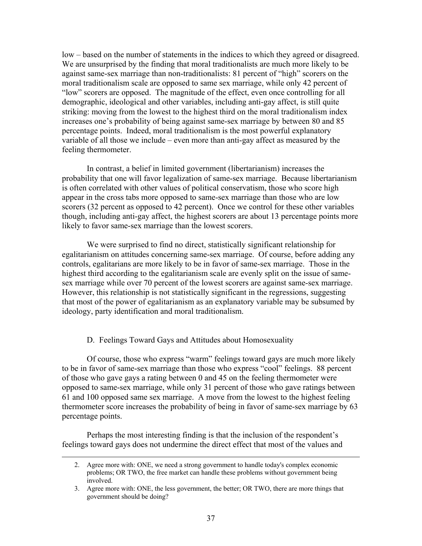low – based on the number of statements in the indices to which they agreed or disagreed. We are unsurprised by the finding that moral traditionalists are much more likely to be against same-sex marriage than non-traditionalists: 81 percent of "high" scorers on the moral traditionalism scale are opposed to same sex marriage, while only 42 percent of "low" scorers are opposed. The magnitude of the effect, even once controlling for all demographic, ideological and other variables, including anti-gay affect, is still quite striking: moving from the lowest to the highest third on the moral traditionalism index increases one's probability of being against same-sex marriage by between 80 and 85 percentage points. Indeed, moral traditionalism is the most powerful explanatory variable of all those we include – even more than anti-gay affect as measured by the feeling thermometer.

In contrast, a belief in limited government (libertarianism) increases the probability that one will favor legalization of same-sex marriage. Because libertarianism is often correlated with other values of political conservatism, those who score high appear in the cross tabs more opposed to same-sex marriage than those who are low scorers (32 percent as opposed to 42 percent). Once we control for these other variables though, including anti-gay affect, the highest scorers are about 13 percentage points more likely to favor same-sex marriage than the lowest scorers.

We were surprised to find no direct, statistically significant relationship for egalitarianism on attitudes concerning same-sex marriage. Of course, before adding any controls, egalitarians are more likely to be in favor of same-sex marriage. Those in the highest third according to the egalitarianism scale are evenly split on the issue of samesex marriage while over 70 percent of the lowest scorers are against same-sex marriage. However, this relationship is not statistically significant in the regressions, suggesting that most of the power of egalitarianism as an explanatory variable may be subsumed by ideology, party identification and moral traditionalism.

D. Feelings Toward Gays and Attitudes about Homosexuality

Of course, those who express "warm" feelings toward gays are much more likely to be in favor of same-sex marriage than those who express "cool" feelings. 88 percent of those who gave gays a rating between 0 and 45 on the feeling thermometer were opposed to same-sex marriage, while only 31 percent of those who gave ratings between 61 and 100 opposed same sex marriage. A move from the lowest to the highest feeling thermometer score increases the probability of being in favor of same-sex marriage by 63 percentage points.

Perhaps the most interesting finding is that the inclusion of the respondent's feelings toward gays does not undermine the direct effect that most of the values and

 <sup>2.</sup> Agree more with: ONE, we need a strong government to handle today's complex economic problems; OR TWO, the free market can handle these problems without government being involved.

<sup>3.</sup> Agree more with: ONE, the less government, the better; OR TWO, there are more things that government should be doing?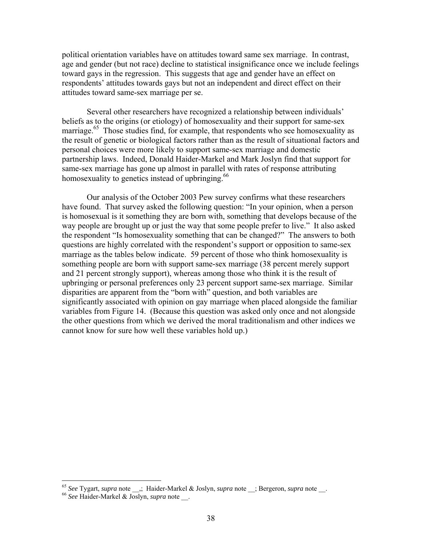political orientation variables have on attitudes toward same sex marriage. In contrast, age and gender (but not race) decline to statistical insignificance once we include feelings toward gays in the regression. This suggests that age and gender have an effect on respondents' attitudes towards gays but not an independent and direct effect on their attitudes toward same-sex marriage per se.

Several other researchers have recognized a relationship between individuals' beliefs as to the origins (or etiology) of homosexuality and their support for same-sex marriage.<sup>65</sup> Those studies find, for example, that respondents who see homosexuality as the result of genetic or biological factors rather than as the result of situational factors and personal choices were more likely to support same-sex marriage and domestic partnership laws. Indeed, Donald Haider-Markel and Mark Joslyn find that support for same-sex marriage has gone up almost in parallel with rates of response attributing homosexuality to genetics instead of upbringing.<sup>66</sup>

Our analysis of the October 2003 Pew survey confirms what these researchers have found. That survey asked the following question: "In your opinion, when a person is homosexual is it something they are born with, something that develops because of the way people are brought up or just the way that some people prefer to live." It also asked the respondent "Is homosexuality something that can be changed?" The answers to both questions are highly correlated with the respondent's support or opposition to same-sex marriage as the tables below indicate. 59 percent of those who think homosexuality is something people are born with support same-sex marriage (38 percent merely support and 21 percent strongly support), whereas among those who think it is the result of upbringing or personal preferences only 23 percent support same-sex marriage. Similar disparities are apparent from the "born with" question, and both variables are significantly associated with opinion on gay marriage when placed alongside the familiar variables from Figure 14. (Because this question was asked only once and not alongside the other questions from which we derived the moral traditionalism and other indices we cannot know for sure how well these variables hold up.)

<span id="page-38-0"></span><sup>65</sup> *See* Tygart, *supra* note \_\_,; Haider-Markel & Joslyn, *supra* note \_\_; Bergeron, *supra* note \_\_. 66 *See* Haider-Markel & Joslyn, *supra* note \_\_.

<span id="page-38-1"></span>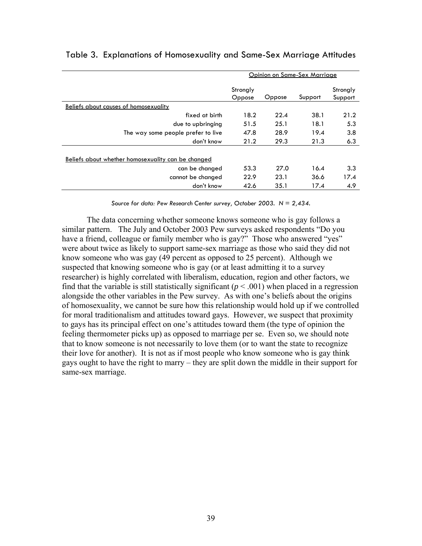|                                                    | Opinion on Same-Sex Marriage |        |         |                     |
|----------------------------------------------------|------------------------------|--------|---------|---------------------|
|                                                    | Strongly<br>Oppose           | Oppose | Support | Strongly<br>Support |
| Beliefs about causes of homosexuality              |                              |        |         |                     |
| fixed at birth                                     | 18.2                         | 22.4   | 38.1    | 21.2                |
| due to upbringing                                  | 51.5                         | 25.1   | 18.1    | 5.3                 |
| The way some people prefer to live                 | 47.8                         | 28.9   | 19.4    | 3.8                 |
| don't know                                         | 21.2                         | 29.3   | 21.3    | 6.3                 |
| Beliefs about whether homosexuality can be changed |                              |        |         |                     |
| can be changed                                     | 53.3                         | 27.0   | 16.4    | 3.3                 |
| cannot be changed                                  | 22.9                         | 23.1   | 36.6    | 17.4                |
| don't know                                         | 42.6                         | 35.1   | 17.4    | 4.9                 |

# Table 3. Explanations of Homosexuality and Same-Sex Marriage Attitudes

*Source for data: Pew Research Center survey, October 2003. N = 2,434.*

The data concerning whether someone knows someone who is gay follows a similar pattern. The July and October 2003 Pew surveys asked respondents "Do you have a friend, colleague or family member who is gay?" Those who answered "yes" were about twice as likely to support same-sex marriage as those who said they did not know someone who was gay (49 percent as opposed to 25 percent). Although we suspected that knowing someone who is gay (or at least admitting it to a survey researcher) is highly correlated with liberalism, education, region and other factors, we find that the variable is still statistically significant  $(p < .001)$  when placed in a regression alongside the other variables in the Pew survey. As with one's beliefs about the origins of homosexuality, we cannot be sure how this relationship would hold up if we controlled for moral traditionalism and attitudes toward gays. However, we suspect that proximity to gays has its principal effect on one's attitudes toward them (the type of opinion the feeling thermometer picks up) as opposed to marriage per se. Even so, we should note that to know someone is not necessarily to love them (or to want the state to recognize their love for another). It is not as if most people who know someone who is gay think gays ought to have the right to marry – they are split down the middle in their support for same-sex marriage.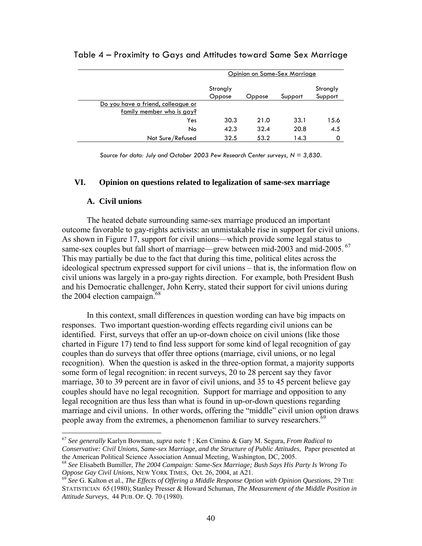|                                    | Opinion on Same-Sex Marriage |        |         |                     |
|------------------------------------|------------------------------|--------|---------|---------------------|
|                                    | Strongly<br>Oppose           | Oppose | Support | Strongly<br>Support |
| Do you have a friend, colleague or |                              |        |         |                     |
| family member who is gay?          |                              |        |         |                     |
| Yes                                | 30.3                         | 21.0   | 33.1    | 15.6                |
| No                                 | 42.3                         | 32.4   | 20.8    | 4.5                 |
| Not Sure/Refused                   | 32.5                         | 53.2   | 14.3    | 0                   |

### Table 4 – Proximity to Gays and Attitudes toward Same Sex Marriage

*Source for data: July and October 2003 Pew Research Center surveys, N = 3,830.* 

### **VI. Opinion on questions related to legalization of same-sex marriage**

### **A. Civil unions**

 $\overline{a}$ 

The heated debate surrounding same-sex marriage produced an important outcome favorable to gay-rights activists: an unmistakable rise in support for civil unions. As shown in Figure 17, support for civil unions—which provide some legal status to same-sex couples but fall short of marriage—grew between mid-2003 and mid-2005. <sup>67</sup> This may partially be due to the fact that during this time, political elites across the ideological spectrum expressed support for civil unions – that is, the information flow on civil unions was largely in a pro-gay rights direction. For example, both President Bush and his Democratic challenger, John Kerry, stated their support for civil unions during the 2004 election campaign. $68$ 

In this context, small differences in question wording can have big impacts on responses. Two important question-wording effects regarding civil unions can be identified. First, surveys that offer an up-or-down choice on civil unions (like those charted in Figure 17) tend to find less support for some kind of legal recognition of gay couples than do surveys that offer three options (marriage, civil unions, or no legal recognition). When the question is asked in the three-option format, a majority supports some form of legal recognition: in recent surveys, 20 to 28 percent say they favor marriage, 30 to 39 percent are in favor of civil unions, and 35 to 45 percent believe gay couples should have no legal recognition. Support for marriage and opposition to any legal recognition are thus less than what is found in up-or-down questions regarding marriage and civil unions. In other words, offering the "middle" civil union option draws people away from the extremes, a phenomenon familiar to survey researchers.<sup>69</sup>

<span id="page-40-0"></span><sup>67</sup> *See generally* Karlyn Bowman, *supra* note † ; Ken Cimino & Gary M. Segura, *From Radical to Conservative: Civil Unions, Same-sex Marriage, and the Structure of Public Attitudes*, Paper presented at the American Political Science Association Annual Meeting, Washington, DC, 2005.<br><sup>68</sup> *See* Elisabeth Bumiller, *The 2004 Campaign: Same-Sex Marriage; Bush Says His Party Is Wrong To* 

<span id="page-40-1"></span>*Oppose Gay Civil Unions*, NEW YORK TIMES, Oct. 26, 2004, at A21.<br><sup>69</sup> *See* G. Kalton et al., *The Effects of Offering a Middle Response Option with Opinion Questions*, 29 THE

<span id="page-40-2"></span>STATISTICIAN 65 (1980); Stanley Presser & Howard Schuman, *The Measurement of the Middle Position in Attitude Surveys*, 44 PUB. OP. Q. 70 (1980).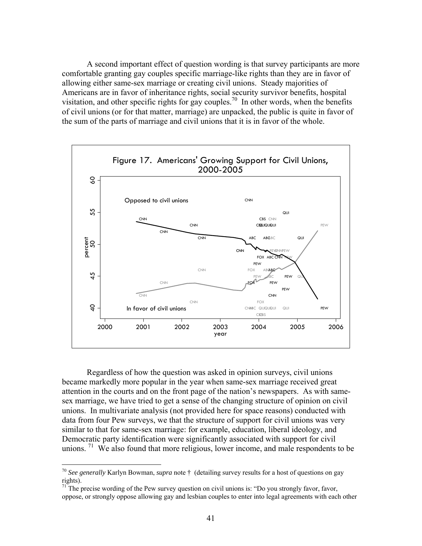A second important effect of question wording is that survey participants are more comfortable granting gay couples specific marriage-like rights than they are in favor of allowing either same-sex marriage or creating civil unions. Steady majorities of Americans are in favor of inheritance rights, social security survivor benefits, hospital visitation, and other specific rights for gay couples.<sup>70</sup> In other words, when the benefits of civil unions (or for that matter, marriage) are unpacked, the public is quite in favor of the sum of the parts of marriage and civil unions that it is in favor of the whole.



Regardless of how the question was asked in opinion surveys, civil unions became markedly more popular in the year when same-sex marriage received great attention in the courts and on the front page of the nation's newspapers. As with samesex marriage, we have tried to get a sense of the changing structure of opinion on civil unions. In multivariate analysis (not provided here for space reasons) conducted with data from four Pew surveys, we that the structure of support for civil unions was very similar to that for same-sex marriage: for example, education, liberal ideology, and Democratic party identification were significantly associated with support for civil unions.  $71$  We also found that more religious, lower income, and male respondents to be

1

<span id="page-41-0"></span><sup>70</sup> *See generally* Karlyn Bowman, *supra* note † (detailing survey results for a host of questions on gay rights).<br><sup>71</sup> The precise wording of the Pew survey question on civil unions is: "Do you strongly favor, favor,

<span id="page-41-1"></span>oppose, or strongly oppose allowing gay and lesbian couples to enter into legal agreements with each other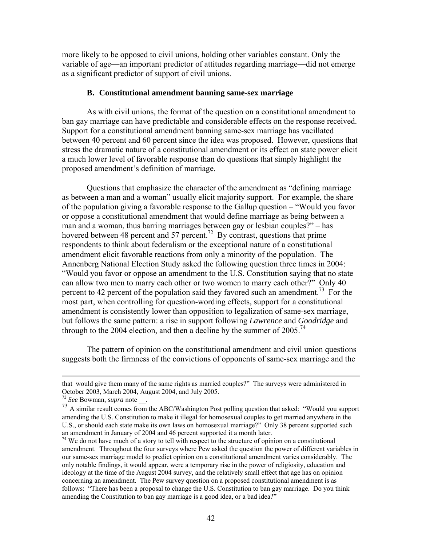more likely to be opposed to civil unions, holding other variables constant. Only the variable of age—an important predictor of attitudes regarding marriage—did not emerge as a significant predictor of support of civil unions.

### **B. Constitutional amendment banning same-sex marriage**

As with civil unions, the format of the question on a constitutional amendment to ban gay marriage can have predictable and considerable effects on the response received. Support for a constitutional amendment banning same-sex marriage has vacillated between 40 percent and 60 percent since the idea was proposed. However, questions that stress the dramatic nature of a constitutional amendment or its effect on state power elicit a much lower level of favorable response than do questions that simply highlight the proposed amendment's definition of marriage.

Questions that emphasize the character of the amendment as "defining marriage as between a man and a woman" usually elicit majority support. For example, the share of the population giving a favorable response to the Gallup question – "Would you favor or oppose a constitutional amendment that would define marriage as being between a man and a woman, thus barring marriages between gay or lesbian couples?" – has hovered between 48 percent and 57 percent.<sup>72</sup> By contrast, questions that prime respondents to think about federalism or the exceptional nature of a constitutional amendment elicit favorable reactions from only a minority of the population. The Annenberg National Election Study asked the following question three times in 2004: "Would you favor or oppose an amendment to the U.S. Constitution saying that no state can allow two men to marry each other or two women to marry each other?" Only 40 percent to 42 percent of the population said they favored such an amendment.<sup>73</sup> For the most part, when controlling for question-wording effects, support for a constitutional amendment is consistently lower than opposition to legalization of same-sex marriage, but follows the same pattern: a rise in support following *Lawrence* and *Goodridge* and through to the 2004 election, and then a decline by the summer of  $2005$ .<sup>[74](#page-42-2)</sup>

The pattern of opinion on the constitutional amendment and civil union questions suggests both the firmness of the convictions of opponents of same-sex marriage and the

that would give them many of the same rights as married couples?" The surveys were administered in

<span id="page-42-1"></span><span id="page-42-0"></span>

October 2003, March 2004, August 2004, and July 2005.<br><sup>72</sup> *See* Bowman, *supra* note \_\_\_.<br><sup>73</sup> A similar result comes from the ABC/Washington Post polling question that asked: "Would you support amending the U.S. Constitution to make it illegal for homosexual couples to get married anywhere in the U.S., or should each state make its own laws on homosexual marriage?" Only 38 percent supported such an amendment in January of 2004 and 46 percent supported it a month later.

<span id="page-42-2"></span> $\frac{1}{4}$  We do not have much of a story to tell with respect to the structure of opinion on a constitutional amendment. Throughout the four surveys where Pew asked the question the power of different variables in our same-sex marriage model to predict opinion on a constitutional amendment varies considerably. The only notable findings, it would appear, were a temporary rise in the power of religiosity, education and ideology at the time of the August 2004 survey, and the relatively small effect that age has on opinion concerning an amendment. The Pew survey question on a proposed constitutional amendment is as follows: "There has been a proposal to change the U.S. Constitution to ban gay marriage. Do you think amending the Constitution to ban gay marriage is a good idea, or a bad idea?"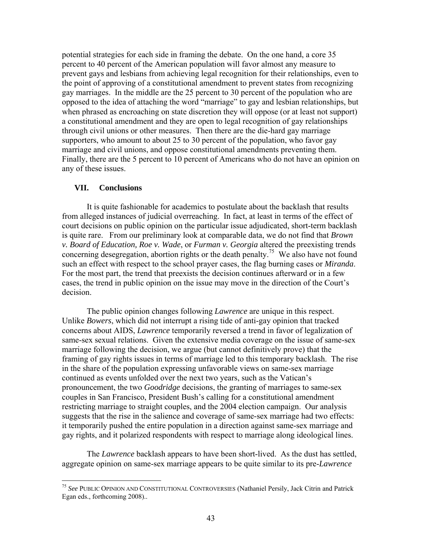potential strategies for each side in framing the debate. On the one hand, a core 35 percent to 40 percent of the American population will favor almost any measure to prevent gays and lesbians from achieving legal recognition for their relationships, even to the point of approving of a constitutional amendment to prevent states from recognizing gay marriages. In the middle are the 25 percent to 30 percent of the population who are opposed to the idea of attaching the word "marriage" to gay and lesbian relationships, but when phrased as encroaching on state discretion they will oppose (or at least not support) a constitutional amendment and they are open to legal recognition of gay relationships through civil unions or other measures. Then there are the die-hard gay marriage supporters, who amount to about 25 to 30 percent of the population, who favor gay marriage and civil unions, and oppose constitutional amendments preventing them. Finally, there are the 5 percent to 10 percent of Americans who do not have an opinion on any of these issues.

### **VII. Conclusions**

 $\overline{a}$ 

It is quite fashionable for academics to postulate about the backlash that results from alleged instances of judicial overreaching. In fact, at least in terms of the effect of court decisions on public opinion on the particular issue adjudicated, short-term backlash is quite rare. From our preliminary look at comparable data, we do not find that *Brown v. Board of Education, Roe v. Wade*, or *Furman v. Georgia* altered the preexisting trends concerning desegregation, abortion rights or the death penalty.<sup>75</sup> We also have not found such an effect with respect to the school prayer cases, the flag burning cases or *Miranda*. For the most part, the trend that preexists the decision continues afterward or in a few cases, the trend in public opinion on the issue may move in the direction of the Court's decision.

The public opinion changes following *Lawrence* are unique in this respect. Unlike *Bowers*, which did not interrupt a rising tide of anti-gay opinion that tracked concerns about AIDS, *Lawrence* temporarily reversed a trend in favor of legalization of same-sex sexual relations. Given the extensive media coverage on the issue of same-sex marriage following the decision, we argue (but cannot definitively prove) that the framing of gay rights issues in terms of marriage led to this temporary backlash. The rise in the share of the population expressing unfavorable views on same-sex marriage continued as events unfolded over the next two years, such as the Vatican's pronouncement, the two *Goodridge* decisions, the granting of marriages to same-sex couples in San Francisco, President Bush's calling for a constitutional amendment restricting marriage to straight couples, and the 2004 election campaign. Our analysis suggests that the rise in the salience and coverage of same-sex marriage had two effects: it temporarily pushed the entire population in a direction against same-sex marriage and gay rights, and it polarized respondents with respect to marriage along ideological lines.

 The *Lawrence* backlash appears to have been short-lived. As the dust has settled, aggregate opinion on same-sex marriage appears to be quite similar to its pre-*Lawrence*

<span id="page-43-0"></span><sup>75</sup> *See* PUBLIC OPINION AND CONSTITUTIONAL CONTROVERSIES (Nathaniel Persily, Jack Citrin and Patrick Egan eds., forthcoming 2008)..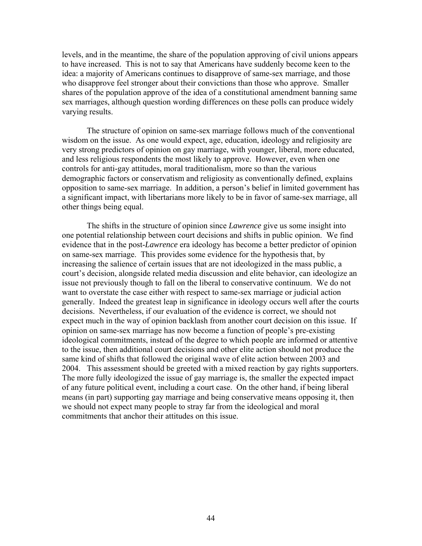levels, and in the meantime, the share of the population approving of civil unions appears to have increased. This is not to say that Americans have suddenly become keen to the idea: a majority of Americans continues to disapprove of same-sex marriage, and those who disapprove feel stronger about their convictions than those who approve. Smaller shares of the population approve of the idea of a constitutional amendment banning same sex marriages, although question wording differences on these polls can produce widely varying results.

The structure of opinion on same-sex marriage follows much of the conventional wisdom on the issue. As one would expect, age, education, ideology and religiosity are very strong predictors of opinion on gay marriage, with younger, liberal, more educated, and less religious respondents the most likely to approve. However, even when one controls for anti-gay attitudes, moral traditionalism, more so than the various demographic factors or conservatism and religiosity as conventionally defined, explains opposition to same-sex marriage. In addition, a person's belief in limited government has a significant impact, with libertarians more likely to be in favor of same-sex marriage, all other things being equal.

The shifts in the structure of opinion since *Lawrence* give us some insight into one potential relationship between court decisions and shifts in public opinion. We find evidence that in the post-*Lawrence* era ideology has become a better predictor of opinion on same-sex marriage. This provides some evidence for the hypothesis that, by increasing the salience of certain issues that are not ideologized in the mass public, a court's decision, alongside related media discussion and elite behavior, can ideologize an issue not previously though to fall on the liberal to conservative continuum. We do not want to overstate the case either with respect to same-sex marriage or judicial action generally. Indeed the greatest leap in significance in ideology occurs well after the courts decisions. Nevertheless, if our evaluation of the evidence is correct, we should not expect much in the way of opinion backlash from another court decision on this issue. If opinion on same-sex marriage has now become a function of people's pre-existing ideological commitments, instead of the degree to which people are informed or attentive to the issue, then additional court decisions and other elite action should not produce the same kind of shifts that followed the original wave of elite action between 2003 and 2004. This assessment should be greeted with a mixed reaction by gay rights supporters. The more fully ideologized the issue of gay marriage is, the smaller the expected impact of any future political event, including a court case. On the other hand, if being liberal means (in part) supporting gay marriage and being conservative means opposing it, then we should not expect many people to stray far from the ideological and moral commitments that anchor their attitudes on this issue.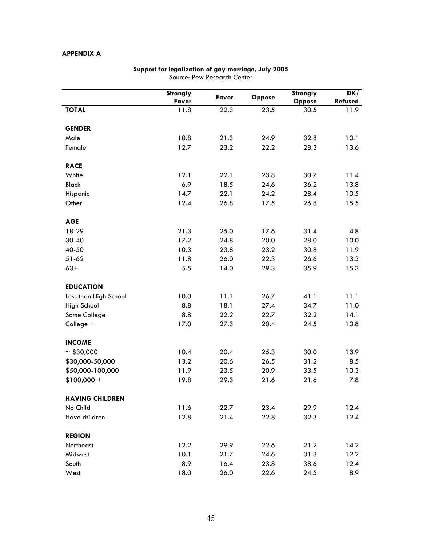### **APPENDIX A**

|                        | Strongly | Favor | Oppose | Strongly | DK/     |
|------------------------|----------|-------|--------|----------|---------|
|                        | Favor    |       |        | Oppose   | Refused |
| <b>TOTAL</b>           | 11.8     | 22.3  | 23.5   | 30.5     | 11.9    |
| <b>GENDER</b>          |          |       |        |          |         |
| Male                   | 10.8     | 21.3  | 24.9   | 32.8     | 10.1    |
| Female                 | 12.7     | 23.2  | 22.2   | 28.3     | 13.6    |
| <b>RACE</b>            |          |       |        |          |         |
| White                  | 12.1     | 22.1  | 23.8   | 30.7     | 11.4    |
| <b>Black</b>           | 6.9      | 18.5  | 24.6   | 36.2     | 13.8    |
| Hispanic               | 14.7     | 22.1  | 24.2   | 28.4     | 10.5    |
| Other                  | 12.4     | 26.8  | 17.5   | 26.8     | 15.5    |
| <b>AGE</b>             |          |       |        |          |         |
| 18-29                  | 21.3     | 25.0  | 17.6   | 31.4     | 4.8     |
| $30 - 40$              | 17.2     | 24.8  | 20.0   | 28.0     | 10.0    |
| 40-50                  | 10.3     | 23.8  | 23.2   | 30.8     | 11.9    |
| $51 - 62$              | 11.8     | 26.0  | 22.3   | 26.6     | 13.3    |
| $63+$                  | 5.5      | 14.0  | 29.3   | 35.9     | 15.3    |
| <b>EDUCATION</b>       |          |       |        |          |         |
| Less than High School  | 10.0     | 11.1  | 26.7   | 41.1     | 11.1    |
| High School            | 8.8      | 18.1  | 27.4   | 34.7     | 11.0    |
| Some College           | 8.8      | 22.2  | 22.7   | 32.2     | 14.1    |
| College +              | 17.0     | 27.3  | 20.4   | 24.5     | 10.8    |
| <b>INCOME</b>          |          |       |        |          |         |
| ~100,000               | 10.4     | 20.4  | 25.3   | 30.0     | 13.9    |
| \$30,000-50,000        | 13.2     | 20.6  | 26.5   | 31.2     | 8.5     |
| \$50,000-100,000       | 11.9     | 23.5  | 20.9   | 33.5     | 10.3    |
| $$100,000 +$           | 19.8     | 29.3  | 21.6   | 21.6     | 7.8     |
| <b>HAVING CHILDREN</b> |          |       |        |          |         |
| No Child               | 11.6     | 22.7  | 23.4   | 29.9     | 12.4    |
| Have children          | 12.8     | 21.4  | 22.8   | 32.3     | 12.4    |
| <b>REGION</b>          |          |       |        |          |         |
| Northeast              | 12.2     | 29.9  | 22.6   | 21.2     | 14.2    |
| Midwest                | 10.1     | 21.7  | 24.6   | 31.3     | 12.2    |
| South                  | 8.9      | 16.4  | 23.8   | 38.6     | 12.4    |
| West                   | 18.0     | 26.0  | 22.6   | 24.5     | 8.9     |

### **Support for legalization of gay marriage, July 2005**  Source: Pew Research Center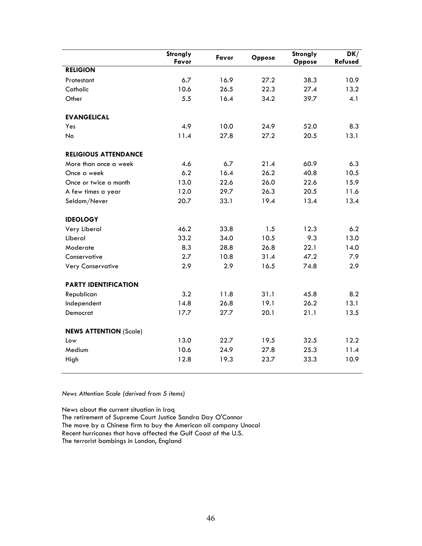|                               | Strongly<br>Favor | Favor | Oppose | Strongly<br>Oppose | DK/<br>Refused |
|-------------------------------|-------------------|-------|--------|--------------------|----------------|
| <b>RELIGION</b>               |                   |       |        |                    |                |
| Protestant                    | 6.7               | 16.9  | 27.2   | 38.3               | 10.9           |
| Catholic                      | 10.6              | 26.5  | 22.3   | 27.4               | 13.2           |
| Other                         | 5.5               | 16.4  | 34.2   | 39.7               | 4.1            |
| <b>EVANGELICAL</b>            |                   |       |        |                    |                |
| Yes                           | 4.9               | 10.0  | 24.9   | 52.0               | 8.3            |
| No                            | 11.4              | 27.8  | 27.2   | 20.5               | 13.1           |
| <b>RELIGIOUS ATTENDANCE</b>   |                   |       |        |                    |                |
| More than once a week         | 4.6               | 6.7   | 21.4   | 60.9               | 6.3            |
| Once a week                   | 6.2               | 16.4  | 26.2   | 40.8               | 10.5           |
| Once or twice a month         | 13.0              | 22.6  | 26.0   | 22.6               | 15.9           |
| A few times a year            | 12.0              | 29.7  | 26.3   | 20.5               | 11.6           |
| Seldom/Never                  | 20.7              | 33.1  | 19.4   | 13.4               | 13.4           |
| <b>IDEOLOGY</b>               |                   |       |        |                    |                |
| Very Liberal                  | 46.2              | 33.8  | 1.5    | 12.3               | 6.2            |
| Liberal                       | 33.2              | 34.0  | 10.5   | 9.3                | 13.0           |
| Moderate                      | 8.3               | 28.8  | 26.8   | 22.1               | 14.0           |
| Conservative                  | 2.7               | 10.8  | 31.4   | 47.2               | 7.9            |
| <b>Very Conservative</b>      | 2.9               | 2.9   | 16.5   | 74.8               | 2.9            |
| <b>PARTY IDENTIFICATION</b>   |                   |       |        |                    |                |
| Republican                    | 3.2               | 11.8  | 31.1   | 45.8               | 8.2            |
| Independent                   | 14.8              | 26.8  | 19.1   | 26.2               | 13.1           |
| Democrat                      | 17.7              | 27.7  | 20.1   | 21.1               | 13.5           |
| <b>NEWS ATTENTION (Scale)</b> |                   |       |        |                    |                |
| Low                           | 13.0              | 22.7  | 19.5   | 32.5               | 12.2           |
| Medium                        | 10.6              | 24.9  | 27.8   | 25.3               | 11.4           |
| High                          | 12.8              | 19.3  | 23.7   | 33.3               | 10.9           |

*News Attention Scale (derived from 5 items)* 

News about the current situation in Iraq The retirement of Supreme Court Justice Sandra Day O'Connor The move by a Chinese firm to buy the American oil company Unocal Recent hurricanes that have affected the Gulf Coast of the U.S. The terrorist bombings in London, England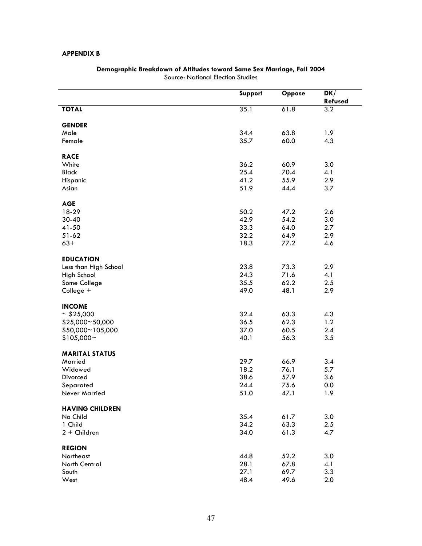### **APPENDIX B**

| 35.1<br>3.2<br>61.8<br><b>TOTAL</b><br><b>GENDER</b><br>34.4<br>63.8<br>Male<br>1.9<br>35.7<br>60.0<br>4.3<br>Female<br><b>RACE</b><br>36.2<br>White<br>60.9<br>3.0<br>25.4<br>70.4<br>4.1<br><b>Black</b><br>41.2<br>55.9<br>2.9<br>Hispanic<br>51.9<br>44.4<br>3.7<br>Asian<br><b>AGE</b><br>18-29<br>50.2<br>47.2<br>2.6<br>42.9<br>3.0<br>$30 - 40$<br>54.2<br>33.3<br>41-50<br>64.0<br>2.7<br>32.2<br>64.9<br>2.9<br>$51 - 62$<br>77.2<br>$63+$<br>18.3<br>4.6<br><b>EDUCATION</b><br>23.8<br>2.9<br>Less than High School<br>73.3<br>24.3<br>71.6<br>4.1<br>High School<br>62.2<br>2.5<br>Some College<br>35.5<br>48.1<br>2.9<br>College +<br>49.0<br><b>INCOME</b><br>32.4<br>$\sim$ \$25,000<br>63.3<br>4.3<br>62.3<br>\$25,000~50,000<br>36.5<br>1.2<br>\$50,000~105,000<br>60.5<br>2.4<br>37.0<br>3.5<br>$$105,000$ ~<br>40.1<br>56.3<br><b>MARITAL STATUS</b><br>29.7<br>66.9<br>3.4<br>Married<br>18.2<br>5.7<br>Widowed<br>76.1<br>38.6<br>57.9<br>3.6<br>Divorced<br>24.4<br>75.6<br>0.0<br>Separated<br>51.0<br>47.1<br>1.9<br>Never Married<br><b>HAVING CHILDREN</b><br>35.4<br>61.7<br>3.0<br>No Child<br>34.2<br>63.3<br>2.5<br>1 Child<br>34.0<br>61.3<br>$2 +$ Children<br>4.7<br><b>REGION</b><br>52.2<br>3.0<br>Northeast<br>44.8<br>28.1<br>67.8<br>4.1<br>North Central<br>3.3<br>27.1<br>69.7<br>South |      | Support | Oppose | DK/<br>Refused |
|----------------------------------------------------------------------------------------------------------------------------------------------------------------------------------------------------------------------------------------------------------------------------------------------------------------------------------------------------------------------------------------------------------------------------------------------------------------------------------------------------------------------------------------------------------------------------------------------------------------------------------------------------------------------------------------------------------------------------------------------------------------------------------------------------------------------------------------------------------------------------------------------------------------------------------------------------------------------------------------------------------------------------------------------------------------------------------------------------------------------------------------------------------------------------------------------------------------------------------------------------------------------------------------------------------------------------------|------|---------|--------|----------------|
|                                                                                                                                                                                                                                                                                                                                                                                                                                                                                                                                                                                                                                                                                                                                                                                                                                                                                                                                                                                                                                                                                                                                                                                                                                                                                                                                  |      |         |        |                |
|                                                                                                                                                                                                                                                                                                                                                                                                                                                                                                                                                                                                                                                                                                                                                                                                                                                                                                                                                                                                                                                                                                                                                                                                                                                                                                                                  |      |         |        |                |
|                                                                                                                                                                                                                                                                                                                                                                                                                                                                                                                                                                                                                                                                                                                                                                                                                                                                                                                                                                                                                                                                                                                                                                                                                                                                                                                                  |      |         |        |                |
|                                                                                                                                                                                                                                                                                                                                                                                                                                                                                                                                                                                                                                                                                                                                                                                                                                                                                                                                                                                                                                                                                                                                                                                                                                                                                                                                  |      |         |        |                |
|                                                                                                                                                                                                                                                                                                                                                                                                                                                                                                                                                                                                                                                                                                                                                                                                                                                                                                                                                                                                                                                                                                                                                                                                                                                                                                                                  |      |         |        |                |
|                                                                                                                                                                                                                                                                                                                                                                                                                                                                                                                                                                                                                                                                                                                                                                                                                                                                                                                                                                                                                                                                                                                                                                                                                                                                                                                                  |      |         |        |                |
|                                                                                                                                                                                                                                                                                                                                                                                                                                                                                                                                                                                                                                                                                                                                                                                                                                                                                                                                                                                                                                                                                                                                                                                                                                                                                                                                  |      |         |        |                |
|                                                                                                                                                                                                                                                                                                                                                                                                                                                                                                                                                                                                                                                                                                                                                                                                                                                                                                                                                                                                                                                                                                                                                                                                                                                                                                                                  |      |         |        |                |
|                                                                                                                                                                                                                                                                                                                                                                                                                                                                                                                                                                                                                                                                                                                                                                                                                                                                                                                                                                                                                                                                                                                                                                                                                                                                                                                                  |      |         |        |                |
|                                                                                                                                                                                                                                                                                                                                                                                                                                                                                                                                                                                                                                                                                                                                                                                                                                                                                                                                                                                                                                                                                                                                                                                                                                                                                                                                  |      |         |        |                |
|                                                                                                                                                                                                                                                                                                                                                                                                                                                                                                                                                                                                                                                                                                                                                                                                                                                                                                                                                                                                                                                                                                                                                                                                                                                                                                                                  |      |         |        |                |
|                                                                                                                                                                                                                                                                                                                                                                                                                                                                                                                                                                                                                                                                                                                                                                                                                                                                                                                                                                                                                                                                                                                                                                                                                                                                                                                                  |      |         |        |                |
|                                                                                                                                                                                                                                                                                                                                                                                                                                                                                                                                                                                                                                                                                                                                                                                                                                                                                                                                                                                                                                                                                                                                                                                                                                                                                                                                  |      |         |        |                |
|                                                                                                                                                                                                                                                                                                                                                                                                                                                                                                                                                                                                                                                                                                                                                                                                                                                                                                                                                                                                                                                                                                                                                                                                                                                                                                                                  |      |         |        |                |
|                                                                                                                                                                                                                                                                                                                                                                                                                                                                                                                                                                                                                                                                                                                                                                                                                                                                                                                                                                                                                                                                                                                                                                                                                                                                                                                                  |      |         |        |                |
|                                                                                                                                                                                                                                                                                                                                                                                                                                                                                                                                                                                                                                                                                                                                                                                                                                                                                                                                                                                                                                                                                                                                                                                                                                                                                                                                  |      |         |        |                |
|                                                                                                                                                                                                                                                                                                                                                                                                                                                                                                                                                                                                                                                                                                                                                                                                                                                                                                                                                                                                                                                                                                                                                                                                                                                                                                                                  |      |         |        |                |
|                                                                                                                                                                                                                                                                                                                                                                                                                                                                                                                                                                                                                                                                                                                                                                                                                                                                                                                                                                                                                                                                                                                                                                                                                                                                                                                                  |      |         |        |                |
|                                                                                                                                                                                                                                                                                                                                                                                                                                                                                                                                                                                                                                                                                                                                                                                                                                                                                                                                                                                                                                                                                                                                                                                                                                                                                                                                  |      |         |        |                |
|                                                                                                                                                                                                                                                                                                                                                                                                                                                                                                                                                                                                                                                                                                                                                                                                                                                                                                                                                                                                                                                                                                                                                                                                                                                                                                                                  |      |         |        |                |
|                                                                                                                                                                                                                                                                                                                                                                                                                                                                                                                                                                                                                                                                                                                                                                                                                                                                                                                                                                                                                                                                                                                                                                                                                                                                                                                                  |      |         |        |                |
|                                                                                                                                                                                                                                                                                                                                                                                                                                                                                                                                                                                                                                                                                                                                                                                                                                                                                                                                                                                                                                                                                                                                                                                                                                                                                                                                  |      |         |        |                |
|                                                                                                                                                                                                                                                                                                                                                                                                                                                                                                                                                                                                                                                                                                                                                                                                                                                                                                                                                                                                                                                                                                                                                                                                                                                                                                                                  |      |         |        |                |
|                                                                                                                                                                                                                                                                                                                                                                                                                                                                                                                                                                                                                                                                                                                                                                                                                                                                                                                                                                                                                                                                                                                                                                                                                                                                                                                                  |      |         |        |                |
|                                                                                                                                                                                                                                                                                                                                                                                                                                                                                                                                                                                                                                                                                                                                                                                                                                                                                                                                                                                                                                                                                                                                                                                                                                                                                                                                  |      |         |        |                |
|                                                                                                                                                                                                                                                                                                                                                                                                                                                                                                                                                                                                                                                                                                                                                                                                                                                                                                                                                                                                                                                                                                                                                                                                                                                                                                                                  |      |         |        |                |
|                                                                                                                                                                                                                                                                                                                                                                                                                                                                                                                                                                                                                                                                                                                                                                                                                                                                                                                                                                                                                                                                                                                                                                                                                                                                                                                                  |      |         |        |                |
|                                                                                                                                                                                                                                                                                                                                                                                                                                                                                                                                                                                                                                                                                                                                                                                                                                                                                                                                                                                                                                                                                                                                                                                                                                                                                                                                  |      |         |        |                |
|                                                                                                                                                                                                                                                                                                                                                                                                                                                                                                                                                                                                                                                                                                                                                                                                                                                                                                                                                                                                                                                                                                                                                                                                                                                                                                                                  |      |         |        |                |
|                                                                                                                                                                                                                                                                                                                                                                                                                                                                                                                                                                                                                                                                                                                                                                                                                                                                                                                                                                                                                                                                                                                                                                                                                                                                                                                                  |      |         |        |                |
|                                                                                                                                                                                                                                                                                                                                                                                                                                                                                                                                                                                                                                                                                                                                                                                                                                                                                                                                                                                                                                                                                                                                                                                                                                                                                                                                  |      |         |        |                |
|                                                                                                                                                                                                                                                                                                                                                                                                                                                                                                                                                                                                                                                                                                                                                                                                                                                                                                                                                                                                                                                                                                                                                                                                                                                                                                                                  |      |         |        |                |
|                                                                                                                                                                                                                                                                                                                                                                                                                                                                                                                                                                                                                                                                                                                                                                                                                                                                                                                                                                                                                                                                                                                                                                                                                                                                                                                                  |      |         |        |                |
|                                                                                                                                                                                                                                                                                                                                                                                                                                                                                                                                                                                                                                                                                                                                                                                                                                                                                                                                                                                                                                                                                                                                                                                                                                                                                                                                  |      |         |        |                |
|                                                                                                                                                                                                                                                                                                                                                                                                                                                                                                                                                                                                                                                                                                                                                                                                                                                                                                                                                                                                                                                                                                                                                                                                                                                                                                                                  |      |         |        |                |
|                                                                                                                                                                                                                                                                                                                                                                                                                                                                                                                                                                                                                                                                                                                                                                                                                                                                                                                                                                                                                                                                                                                                                                                                                                                                                                                                  |      |         |        |                |
|                                                                                                                                                                                                                                                                                                                                                                                                                                                                                                                                                                                                                                                                                                                                                                                                                                                                                                                                                                                                                                                                                                                                                                                                                                                                                                                                  |      |         |        |                |
|                                                                                                                                                                                                                                                                                                                                                                                                                                                                                                                                                                                                                                                                                                                                                                                                                                                                                                                                                                                                                                                                                                                                                                                                                                                                                                                                  |      |         |        |                |
|                                                                                                                                                                                                                                                                                                                                                                                                                                                                                                                                                                                                                                                                                                                                                                                                                                                                                                                                                                                                                                                                                                                                                                                                                                                                                                                                  |      |         |        |                |
|                                                                                                                                                                                                                                                                                                                                                                                                                                                                                                                                                                                                                                                                                                                                                                                                                                                                                                                                                                                                                                                                                                                                                                                                                                                                                                                                  |      |         |        |                |
|                                                                                                                                                                                                                                                                                                                                                                                                                                                                                                                                                                                                                                                                                                                                                                                                                                                                                                                                                                                                                                                                                                                                                                                                                                                                                                                                  |      |         |        |                |
|                                                                                                                                                                                                                                                                                                                                                                                                                                                                                                                                                                                                                                                                                                                                                                                                                                                                                                                                                                                                                                                                                                                                                                                                                                                                                                                                  |      |         |        |                |
|                                                                                                                                                                                                                                                                                                                                                                                                                                                                                                                                                                                                                                                                                                                                                                                                                                                                                                                                                                                                                                                                                                                                                                                                                                                                                                                                  | West | 48.4    | 49.6   | 2.0            |

### **Demographic Breakdown of Attitudes toward Same Sex Marriage, Fall 2004**  Source: National Election Studies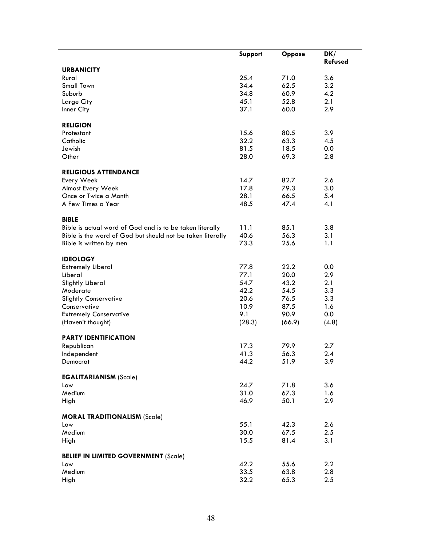|                                                            | Support | <b>Oppose</b> | DK/     |
|------------------------------------------------------------|---------|---------------|---------|
|                                                            |         |               | Refused |
| <b>URBANICITY</b>                                          |         |               |         |
| Rural                                                      | 25.4    | 71.0          | 3.6     |
| <b>Small Town</b>                                          | 34.4    | 62.5          | 3.2     |
| Suburb                                                     | 34.8    | 60.9          | 4.2     |
| Large City                                                 | 45.1    | 52.8          | 2.1     |
| Inner City                                                 | 37.1    | 60.0          | 2.9     |
|                                                            |         |               |         |
| <b>RELIGION</b>                                            |         |               |         |
| Protestant                                                 | 15.6    | 80.5          | 3.9     |
| Catholic                                                   | 32.2    | 63.3          | 4.5     |
| Jewish                                                     | 81.5    | 18.5          | 0.0     |
| Other                                                      | 28.0    | 69.3          | 2.8     |
|                                                            |         |               |         |
| <b>RELIGIOUS ATTENDANCE</b>                                |         |               |         |
| Every Week                                                 | 14.7    | 82.7          | 2.6     |
| Almost Every Week                                          | 17.8    | 79.3          | 3.0     |
| Once or Twice a Month                                      | 28.1    | 66.5          | 5.4     |
| A Few Times a Year                                         | 48.5    | 47.4          | 4.1     |
|                                                            |         |               |         |
| <b>BIBLE</b>                                               |         |               |         |
| Bible is actual word of God and is to be taken literally   | 11.1    | 85.1          | 3.8     |
| Bible is the word of God but should not be taken literally | 40.6    | 56.3          | 3.1     |
| Bible is written by men                                    | 73.3    | 25.6          | 1.1     |
|                                                            |         |               |         |
| <b>IDEOLOGY</b>                                            |         |               |         |
| <b>Extremely Liberal</b>                                   | 77.8    | 22.2          | 0.0     |
| Liberal                                                    | 77.1    | 20.0          | 2.9     |
| Slightly Liberal                                           | 54.7    | 43.2          | 2.1     |
| Moderate                                                   | 42.2    | 54.5          | 3.3     |
| <b>Slightly Conservative</b>                               | 20.6    | 76.5          | 3.3     |
| Conservative                                               | 10.9    | 87.5          | 1.6     |
| <b>Extremely Conservative</b>                              | 9.1     | 90.9          | 0.0     |
| (Haven't thought)                                          | (28.3)  | (66.9)        | (4.8)   |
| <b>PARTY IDENTIFICATION</b>                                |         |               |         |
| Republican                                                 | 17.3    | 79.9          | 2.7     |
| Independent                                                | 41.3    | 56.3          | 2.4     |
| Democrat                                                   | 44.2    | 51.9          | 3.9     |
|                                                            |         |               |         |
| <b>EGALITARIANISM (Scale)</b>                              |         |               |         |
| Low                                                        | 24.7    | 71.8          | 3.6     |
| Medium                                                     | 31.0    | 67.3          | 1.6     |
| High                                                       | 46.9    | 50.1          | 2.9     |
|                                                            |         |               |         |
| <b>MORAL TRADITIONALISM (Scale)</b>                        |         |               |         |
| Low                                                        | 55.1    | 42.3          | 2.6     |
| Medium                                                     | 30.0    | 67.5          | 2.5     |
| High                                                       | 15.5    | 81.4          | 3.1     |
|                                                            |         |               |         |
| <b>BELIEF IN LIMITED GOVERNMENT (Scale)</b>                |         |               |         |
| Low                                                        | 42.2    | 55.6          | 2.2     |
| Medium                                                     | 33.5    | 63.8          | 2.8     |
| High                                                       | 32.2    | 65.3          | $2.5\,$ |